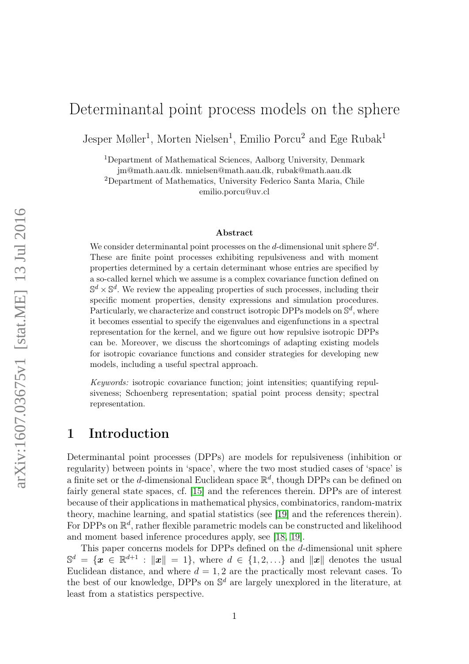# Determinantal point process models on the sphere

Jesper Møller<sup>1</sup>, Morten Nielsen<sup>1</sup>, Emilio Porcu<sup>2</sup> and Ege Rubak<sup>1</sup>

<sup>1</sup>Department of Mathematical Sciences, Aalborg University, Denmark jm@math.aau.dk. mnielsen@math.aau.dk, rubak@math.aau.dk <sup>2</sup>Department of Mathematics, University Federico Santa Maria, Chile emilio.porcu@uv.cl

#### Abstract

We consider determinantal point processes on the d-dimensional unit sphere  $\mathbb{S}^d$ . These are finite point processes exhibiting repulsiveness and with moment properties determined by a certain determinant whose entries are specified by a so-called kernel which we assume is a complex covariance function defined on  $\mathbb{S}^d \times \mathbb{S}^d$ . We review the appealing properties of such processes, including their specific moment properties, density expressions and simulation procedures. Particularly, we characterize and construct isotropic DPPs models on  $\mathbb{S}^d$ , where it becomes essential to specify the eigenvalues and eigenfunctions in a spectral representation for the kernel, and we figure out how repulsive isotropic DPPs can be. Moreover, we discuss the shortcomings of adapting existing models for isotropic covariance functions and consider strategies for developing new models, including a useful spectral approach.

Keywords: isotropic covariance function; joint intensities; quantifying repulsiveness; Schoenberg representation; spatial point process density; spectral representation.

## 1 Introduction

Determinantal point processes (DPPs) are models for repulsiveness (inhibition or regularity) between points in 'space', where the two most studied cases of 'space' is a finite set or the d-dimensional Euclidean space  $\mathbb{R}^d$ , though DPPs can be defined on fairly general state spaces, cf. [\[15\]](#page-29-0) and the references therein. DPPs are of interest because of their applications in mathematical physics, combinatorics, random-matrix theory, machine learning, and spatial statistics (see [\[19\]](#page-29-1) and the references therein). For DPPs on  $\mathbb{R}^d$ , rather flexible parametric models can be constructed and likelihood and moment based inference procedures apply, see [\[18,](#page-29-2) [19\]](#page-29-1).

This paper concerns models for DPPs defined on the d-dimensional unit sphere  $\mathbb{S}^d = \{\boldsymbol{x} \in \mathbb{R}^{d+1} : ||\boldsymbol{x}|| = 1\},\$  where  $d \in \{1, 2, ...\}$  and  $||\boldsymbol{x}||$  denotes the usual Euclidean distance, and where  $d = 1, 2$  are the practically most relevant cases. To the best of our knowledge, DPPs on  $\mathbb{S}^d$  are largely unexplored in the literature, at least from a statistics perspective.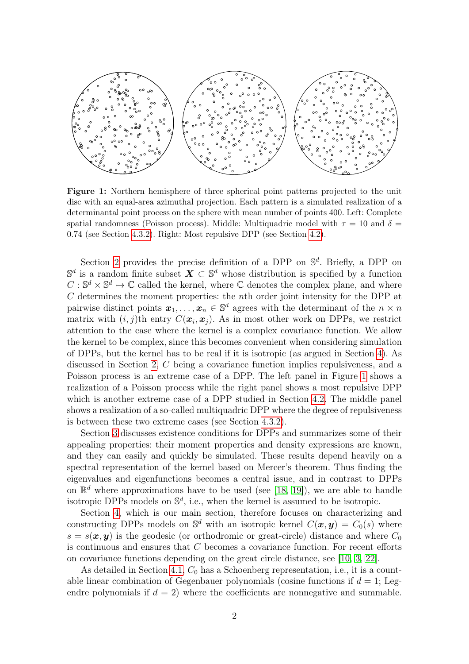<span id="page-1-0"></span>

Figure 1: Northern hemisphere of three spherical point patterns projected to the unit disc with an equal-area azimuthal projection. Each pattern is a simulated realization of a determinantal point process on the sphere with mean number of points 400. Left: Complete spatial randomness (Poisson process). Middle: Multiquadric model with  $\tau = 10$  and  $\delta =$ 0.74 (see Section [4.3.2\)](#page-17-0). Right: Most repulsive DPP (see Section [4.2\)](#page-13-0).

Section [2](#page-2-0) provides the precise definition of a DPP on  $\mathbb{S}^d$ . Briefly, a DPP on  $\mathbb{S}^d$  is a random finite subset  $\boldsymbol{X} \subset \mathbb{S}^d$  whose distribution is specified by a function  $C: \mathbb{S}^d \times \mathbb{S}^d \mapsto \mathbb{C}$  called the kernel, where  $\mathbb C$  denotes the complex plane, and where  $C$  determines the moment properties: the *n*th order joint intensity for the DPP at pairwise distinct points  $x_1, \ldots, x_n \in \mathbb{S}^d$  agrees with the determinant of the  $n \times n$ matrix with  $(i, j)$ th entry  $C(\boldsymbol{x}_i, \boldsymbol{x}_j)$ . As in most other work on DPPs, we restrict attention to the case where the kernel is a complex covariance function. We allow the kernel to be complex, since this becomes convenient when considering simulation of DPPs, but the kernel has to be real if it is isotropic (as argued in Section [4\)](#page-8-0). As discussed in Section [2,](#page-2-0) C being a covariance function implies repulsiveness, and a Poisson process is an extreme case of a DPP. The left panel in Figure [1](#page-1-0) shows a realization of a Poisson process while the right panel shows a most repulsive DPP which is another extreme case of a DPP studied in Section [4.2.](#page-13-0) The middle panel shows a realization of a so-called multiquadric DPP where the degree of repulsiveness is between these two extreme cases (see Section [4.3.2\)](#page-17-0).

Section [3](#page-4-0) discusses existence conditions for DPPs and summarizes some of their appealing properties: their moment properties and density expressions are known, and they can easily and quickly be simulated. These results depend heavily on a spectral representation of the kernel based on Mercer's theorem. Thus finding the eigenvalues and eigenfunctions becomes a central issue, and in contrast to DPPs on  $\mathbb{R}^d$  where approximations have to be used (see [\[18,](#page-29-2) [19\]](#page-29-1)), we are able to handle isotropic DPPs models on  $\mathbb{S}^d$ , i.e., when the kernel is assumed to be isotropic.

Section [4,](#page-8-0) which is our main section, therefore focuses on characterizing and constructing DPPs models on  $\mathbb{S}^d$  with an isotropic kernel  $C(\mathbf{x}, \mathbf{y}) = C_0(s)$  where  $s = s(x, y)$  is the geodesic (or orthodromic or great-circle) distance and where  $C_0$ is continuous and ensures that  $C$  becomes a covariance function. For recent efforts on covariance functions depending on the great circle distance, see [\[10,](#page-28-0) [3,](#page-28-1) [22\]](#page-29-3).

As detailed in Section [4.1,](#page-9-0)  $C_0$  has a Schoenberg representation, i.e., it is a countable linear combination of Gegenbauer polynomials (cosine functions if  $d = 1$ ; Legendre polynomials if  $d = 2$ ) where the coefficients are nonnegative and summable.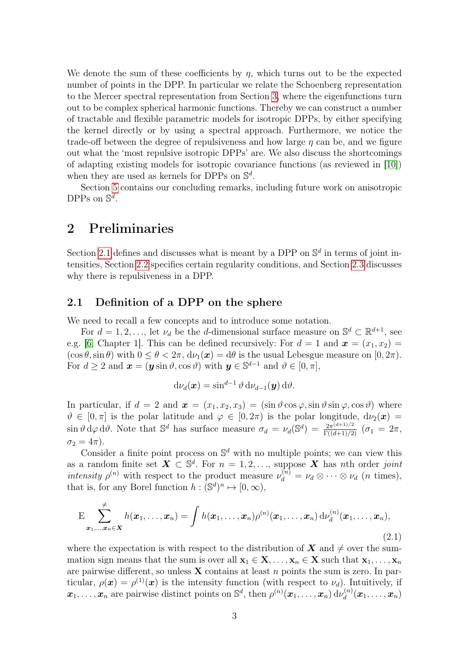We denote the sum of these coefficients by  $\eta$ , which turns out to be the expected number of points in the DPP. In particular we relate the Schoenberg representation to the Mercer spectral representation from Section [3,](#page-4-0) where the eigenfunctions turn out to be complex spherical harmonic functions. Thereby we can construct a number of tractable and flexible parametric models for isotropic DPPs, by either specifying the kernel directly or by using a spectral approach. Furthermore, we notice the trade-off between the degree of repulsiveness and how large  $\eta$  can be, and we figure out what the 'most repulsive isotropic DPPs' are. We also discuss the shortcomings of adapting existing models for isotropic covariance functions (as reviewed in [\[10\]](#page-28-0)) when they are used as kernels for DPPs on  $\mathbb{S}^d$ .

Section [5](#page-23-0) contains our concluding remarks, including future work on anisotropic DPPs on  $\mathbb{S}^d$ .

## <span id="page-2-0"></span>2 Preliminaries

Section [2.1](#page-2-1) defines and discusses what is meant by a DPP on  $\mathbb{S}^d$  in terms of joint intensities, Section [2.2](#page-4-1) specifies certain regularity conditions, and Section [2.3](#page-4-2) discusses why there is repulsiveness in a DPP.

#### <span id="page-2-1"></span>2.1 Definition of a DPP on the sphere

We need to recall a few concepts and to introduce some notation.

For  $d = 1, 2, \ldots$ , let  $\nu_d$  be the d-dimensional surface measure on  $\mathbb{S}^d \subset \mathbb{R}^{d+1}$ , see e.g. [\[6,](#page-28-2) Chapter 1]. This can be defined recursively: For  $d = 1$  and  $\mathbf{x} = (x_1, x_2) =$  $(\cos \theta, \sin \theta)$  with  $0 \le \theta \le 2\pi$ ,  $d\nu_1(\boldsymbol{x}) = d\theta$  is the usual Lebesgue measure on  $[0, 2\pi)$ . For  $d \ge 2$  and  $\boldsymbol{x} = (\boldsymbol{y} \sin \vartheta, \cos \vartheta)$  with  $\boldsymbol{y} \in \mathbb{S}^{d-1}$  and  $\vartheta \in [0, \pi]$ ,

$$
\mathrm{d}\nu_d(\boldsymbol{x}) = \sin^{d-1}\vartheta \,\mathrm{d}\nu_{d-1}(\boldsymbol{y})\,\mathrm{d}\vartheta.
$$

In particular, if  $d = 2$  and  $\boldsymbol{x} = (x_1, x_2, x_3) = (\sin \vartheta \cos \varphi, \sin \vartheta \sin \varphi, \cos \vartheta)$  where  $\vartheta \in [0, \pi]$  is the polar latitude and  $\varphi \in [0, 2\pi)$  is the polar longitude,  $d\nu_2(\bm{x}) =$  $\sin \vartheta \, d\varphi \, d\vartheta$ . Note that  $\mathbb{S}^d$  has surface measure  $\sigma_d = \nu_d(\mathbb{S}^d) = \frac{2\pi^{(d+1)/2}}{\Gamma((d+1)/2)}$   $(\sigma_1 = 2\pi,$  $\sigma_2 = 4\pi$ ).

Consider a finite point process on  $\mathbb{S}^d$  with no multiple points; we can view this as a random finite set  $\mathbf{X} \subset \mathbb{S}^d$ . For  $n = 1, 2, \ldots$ , suppose  $\mathbf{X}$  has nth order joint *intensity*  $\rho^{(n)}$  with respect to the product measure  $\nu_d^{(n)} = \nu_d \otimes \cdots \otimes \nu_d$  (*n* times), that is, for any Borel function  $h : (\mathbb{S}^d)^n \mapsto [0, \infty)$ ,

<span id="page-2-2"></span>
$$
\mathrm{E} \sum_{\boldsymbol{x}_1,\ldots,\boldsymbol{x}_n\in\mathbf{X}}^{\neq} h(\boldsymbol{x}_1,\ldots,\boldsymbol{x}_n) = \int h(\boldsymbol{x}_1,\ldots,\boldsymbol{x}_n) \rho^{(n)}(\boldsymbol{x}_1,\ldots,\boldsymbol{x}_n) \,\mathrm{d}\nu_d^{(n)}(\boldsymbol{x}_1,\ldots,\boldsymbol{x}_n),\tag{2.1}
$$

where the expectation is with respect to the distribution of  $\boldsymbol{X}$  and  $\neq$  over the summation sign means that the sum is over all  $x_1 \in X, \ldots, x_n \in X$  such that  $x_1, \ldots, x_n$ are pairwise different, so unless  $X$  contains at least n points the sum is zero. In particular,  $\rho(\boldsymbol{x}) = \rho^{(1)}(\boldsymbol{x})$  is the intensity function (with respect to  $\nu_d$ ). Intuitively, if  $\pmb{x}_1,\ldots,\pmb{x}_n$  are pairwise distinct points on  $\mathbb{S}^d,$  then  $\rho^{(n)}(\pmb{x}_1,\ldots,\pmb{x}_n) d\nu_d^{(n)}$  $d_d^{(n)}(\boldsymbol{x}_1,\dots,\boldsymbol{x}_n)$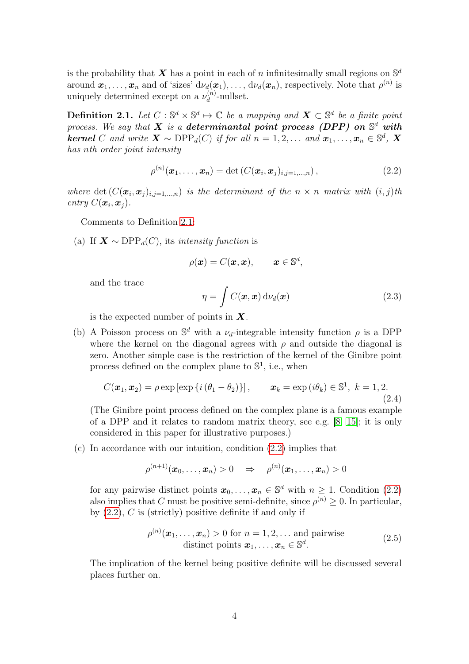is the probability that  $X$  has a point in each of n infinitesimally small regions on  $\mathbb{S}^d$ around  $\bm{x}_1,\ldots,\bm{x}_n$  and of 'sizes'  $d\nu_d(\bm{x}_1),\ldots,d\nu_d(\bm{x}_n)$ , respectively. Note that  $\rho^{(n)}$  is uniquely determined except on a  $\nu_d^{(n)}$  $\binom{n}{d}$ -nullset.

<span id="page-3-0"></span>**Definition 2.1.** Let  $C : \mathbb{S}^d \times \mathbb{S}^d \mapsto \mathbb{C}$  be a mapping and  $\mathbf{X} \subset \mathbb{S}^d$  be a finite point process. We say that X is a determinantal point process (DPP) on  $\mathbb{S}^d$  with **kernel** C and write  $X \sim \text{DPP}_d(C)$  if for all  $n = 1, 2, ...$  and  $x_1, ..., x_n \in \mathbb{S}^d$ , X has nth order joint intensity

<span id="page-3-1"></span>
$$
\rho^{(n)}(\boldsymbol{x}_1,\ldots,\boldsymbol{x}_n)=\det\left(C(\boldsymbol{x}_i,\boldsymbol{x}_j)_{i,j=1,\ldots,n}\right),\qquad (2.2)
$$

where det  $(C(\boldsymbol{x}_i, \boldsymbol{x}_j)_{i,j=1,\ldots,n})$  is the determinant of the  $n \times n$  matrix with  $(i, j)$ th entry  $C(\boldsymbol{x}_i, \boldsymbol{x}_j)$ .

Comments to Definition [2.1:](#page-3-0)

(a) If  $\mathbf{X} \sim \text{DPP}_d(C)$ , its intensity function is

$$
\rho(\boldsymbol{x}) = C(\boldsymbol{x}, \boldsymbol{x}), \qquad \boldsymbol{x} \in \mathbb{S}^d,
$$

and the trace

<span id="page-3-2"></span>
$$
\eta = \int C(\boldsymbol{x}, \boldsymbol{x}) \, \mathrm{d}\nu_d(\boldsymbol{x}) \tag{2.3}
$$

is the expected number of points in  $X$ .

(b) A Poisson process on  $\mathbb{S}^d$  with a  $\nu_d$ -integrable intensity function  $\rho$  is a DPP where the kernel on the diagonal agrees with  $\rho$  and outside the diagonal is zero. Another simple case is the restriction of the kernel of the Ginibre point process defined on the complex plane to  $\mathbb{S}^1$ , i.e., when

<span id="page-3-3"></span>
$$
C(\boldsymbol{x}_1, \boldsymbol{x}_2) = \rho \exp \left[ \exp \left\{ i \left( \theta_1 - \theta_2 \right) \right\} \right], \qquad \boldsymbol{x}_k = \exp \left( i \theta_k \right) \in \mathbb{S}^1, \ k = 1, 2. \tag{2.4}
$$

(The Ginibre point process defined on the complex plane is a famous example of a DPP and it relates to random matrix theory, see e.g. [\[8,](#page-28-3) [15\]](#page-29-0); it is only considered in this paper for illustrative purposes.)

(c) In accordance with our intuition, condition [\(2.2\)](#page-3-1) implies that

$$
\rho^{(n+1)}(\boldsymbol{x}_0,\ldots,\boldsymbol{x}_n)>0\quad\Rightarrow\quad\rho^{(n)}(\boldsymbol{x}_1,\ldots,\boldsymbol{x}_n)>0
$$

for any pairwise distinct points  $x_0, \ldots, x_n \in \mathbb{S}^d$  with  $n \geq 1$ . Condition [\(2.2\)](#page-3-1) also implies that C must be positive semi-definite, since  $\rho^{(n)} \geq 0$ . In particular, by  $(2.2)$ , C is (strictly) positive definite if and only if

<span id="page-3-4"></span>
$$
\rho^{(n)}(\boldsymbol{x}_1,\ldots,\boldsymbol{x}_n) > 0 \text{ for } n = 1, 2, \ldots \text{ and pairwise} \qquad (2.5)
$$
  
distinct points  $\boldsymbol{x}_1, \ldots, \boldsymbol{x}_n \in \mathbb{S}^d$ .

The implication of the kernel being positive definite will be discussed several places further on.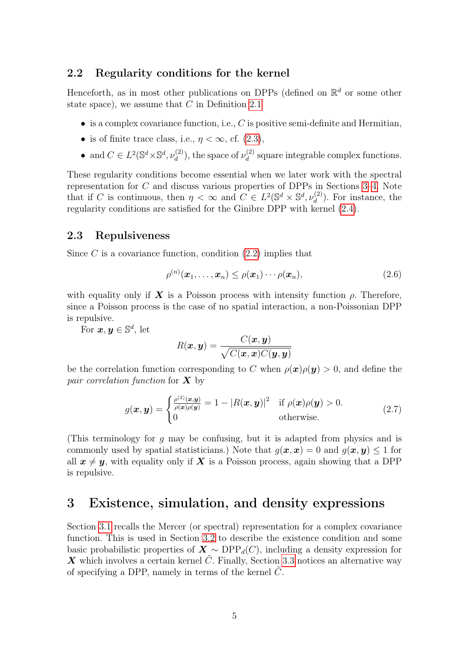### <span id="page-4-1"></span>2.2 Regularity conditions for the kernel

Henceforth, as in most other publications on DPPs (defined on  $\mathbb{R}^d$  or some other state space), we assume that  $C$  in Definition [2.1](#page-3-0)

- $\bullet$  is a complex covariance function, i.e., C is positive semi-definite and Hermitian,
- is of finite trace class, i.e.,  $\eta < \infty$ , cf. [\(2.3\)](#page-3-2),
- and  $C \in L^2(\mathbb{S}^d \times \mathbb{S}^d, \nu_d^{(2)})$  $\mathcal{U}_d^{(2)}$ , the space of  $\nu_d^{(2)}$  $d_d^{(2)}$  square integrable complex functions.

These regularity conditions become essential when we later work with the spectral representation for C and discuss various properties of DPPs in Sections [3–](#page-4-0)[4.](#page-8-0) Note that if C is continuous, then  $\eta < \infty$  and  $C \in L^2(\mathbb{S}^d \times \mathbb{S}^d, \nu_d^{(2)})$  $a_d^{(2)}$ ). For instance, the regularity conditions are satisfied for the Ginibre DPP with kernel [\(2.4\)](#page-3-3).

#### <span id="page-4-2"></span>2.3 Repulsiveness

Since C is a covariance function, condition  $(2.2)$  implies that

$$
\rho^{(n)}(\boldsymbol{x}_1,\ldots,\boldsymbol{x}_n) \leq \rho(\boldsymbol{x}_1)\cdots\rho(\boldsymbol{x}_n),
$$
\n(2.6)

with equality only if  $\bm{X}$  is a Poisson process with intensity function  $\rho$ . Therefore, since a Poisson process is the case of no spatial interaction, a non-Poissonian DPP is repulsive.

For  $\boldsymbol{x},\boldsymbol{y}\in\mathbb{S}^d$ , let

$$
R(\boldsymbol{x},\boldsymbol{y}) = \frac{C(\boldsymbol{x},\boldsymbol{y})}{\sqrt{C(\boldsymbol{x},\boldsymbol{x})C(\boldsymbol{y},\boldsymbol{y})}}
$$

be the correlation function corresponding to C when  $\rho(\mathbf{x})\rho(\mathbf{y}) > 0$ , and define the pair correlation function for  $X$  by

$$
g(\boldsymbol{x}, \boldsymbol{y}) = \begin{cases} \frac{\rho^{(2)}(\boldsymbol{x}, \boldsymbol{y})}{\rho(\boldsymbol{x})\rho(\boldsymbol{y})} = 1 - |R(\boldsymbol{x}, \boldsymbol{y})|^2 & \text{if } \rho(\boldsymbol{x})\rho(\boldsymbol{y}) > 0. \\ 0 & \text{otherwise.} \end{cases}
$$
(2.7)

(This terminology for g may be confusing, but it is adapted from physics and is commonly used by spatial statisticians.) Note that  $q(x, x) = 0$  and  $q(x, y) \le 1$  for all  $x \neq y$ , with equality only if X is a Poisson process, again showing that a DPP is repulsive.

### <span id="page-4-0"></span>3 Existence, simulation, and density expressions

Section [3.1](#page-5-0) recalls the Mercer (or spectral) representation for a complex covariance function. This is used in Section [3.2](#page-5-1) to describe the existence condition and some basic probabilistic properties of  $\mathbf{X} \sim \text{DPP}_d(C)$ , including a density expression for X which involves a certain kernel  $\tilde{C}$ . Finally, Section [3.3](#page-7-0) notices an alternative way of specifying a DPP, namely in terms of the kernel  $C$ .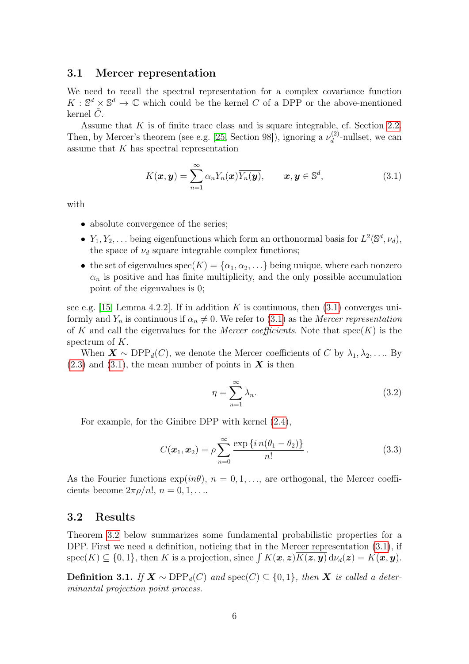#### <span id="page-5-0"></span>3.1 Mercer representation

We need to recall the spectral representation for a complex covariance function  $K: \mathbb{S}^d \times \mathbb{S}^d \mapsto \mathbb{C}$  which could be the kernel C of a DPP or the above-mentioned kernel  $\tilde{C}$ .

Assume that  $K$  is of finite trace class and is square integrable, cf. Section [2.2.](#page-4-1) Then, by Mercer's theorem (see e.g. [\[25,](#page-29-4) Section 98]), ignoring a  $\nu_d^{(2)}$  $\chi_d^{(2)}$ -nullset, we can assume that K has spectral representation

<span id="page-5-2"></span>
$$
K(\boldsymbol{x}, \boldsymbol{y}) = \sum_{n=1}^{\infty} \alpha_n Y_n(\boldsymbol{x}) \overline{Y_n(\boldsymbol{y})}, \qquad \boldsymbol{x}, \boldsymbol{y} \in \mathbb{S}^d,
$$
 (3.1)

with

- absolute convergence of the series;
- $Y_1, Y_2, \ldots$  being eigenfunctions which form an orthonormal basis for  $L^2(\mathbb{S}^d, \nu_d)$ , the space of  $\nu_d$  square integrable complex functions;
- the set of eigenvalues  $spec(K) = {\alpha_1, \alpha_2, \ldots}$  being unique, where each nonzero  $\alpha_n$  is positive and has finite multiplicity, and the only possible accumulation point of the eigenvalues is 0;

see e.g. [\[15,](#page-29-0) Lemma 4.2.2]. If in addition K is continuous, then  $(3.1)$  converges uniformly and  $Y_n$  is continuous if  $\alpha_n \neq 0$ . We refer to [\(3.1\)](#page-5-2) as the *Mercer representation* of K and call the eigenvalues for the *Mercer coefficients*. Note that  $spec(K)$  is the spectrum of K.

When  $\mathbf{X} \sim \text{DPP}_d(C)$ , we denote the Mercer coefficients of C by  $\lambda_1, \lambda_2, \ldots$  By  $(2.3)$  and  $(3.1)$ , the mean number of points in **X** is then

$$
\eta = \sum_{n=1}^{\infty} \lambda_n.
$$
\n(3.2)

For example, for the Ginibre DPP with kernel [\(2.4\)](#page-3-3),

<span id="page-5-3"></span>
$$
C(\boldsymbol{x}_1, \boldsymbol{x}_2) = \rho \sum_{n=0}^{\infty} \frac{\exp\left\{i n(\theta_1 - \theta_2)\right\}}{n!}.
$$
\n(3.3)

As the Fourier functions  $\exp(in\theta), n = 0, 1, \ldots$ , are orthogonal, the Mercer coefficients become  $2\pi \rho/n!$ ,  $n = 0, 1, \ldots$ 

### <span id="page-5-1"></span>3.2 Results

Theorem [3.2](#page-6-0) below summarizes some fundamental probabilistic properties for a DPP. First we need a definition, noticing that in the Mercer representation [\(3.1\)](#page-5-2), if  $\operatorname{spec}(K) \subseteq \{0,1\}$ , then K is a projection, since  $\int K(\boldsymbol{x}, \boldsymbol{z})\overline{K(\boldsymbol{z}, \boldsymbol{y})} d\nu_d(\boldsymbol{z}) = K(\boldsymbol{x}, \boldsymbol{y}).$ 

**Definition 3.1.** If  $X \sim \text{DPP}_d(C)$  and spec(C) ⊆ {0, 1}, then X is called a determinantal projection point process.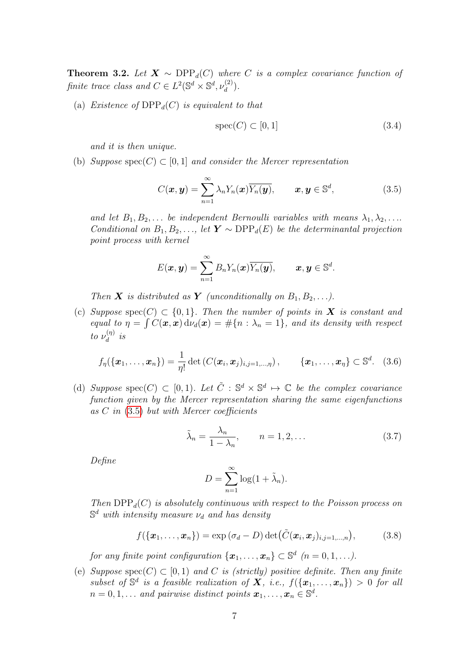<span id="page-6-0"></span>**Theorem 3.2.** Let  $X \sim \text{DPP}_d(C)$  where C is a complex covariance function of finite trace class and  $C \in L^2(\mathbb{S}^d \times \mathbb{S}^d, \nu_d^{(2)})$  $\binom{2}{d}$ .

(a) Existence of  $DPP_d(C)$  is equivalent to that

<span id="page-6-2"></span>
$$
spec(C) \subset [0,1] \tag{3.4}
$$

and it is then unique.

(b) Suppose  $\text{spec}(C) \subset [0, 1]$  and consider the Mercer representation

<span id="page-6-1"></span>
$$
C(\boldsymbol{x}, \boldsymbol{y}) = \sum_{n=1}^{\infty} \lambda_n Y_n(\boldsymbol{x}) \overline{Y_n(\boldsymbol{y})}, \qquad \boldsymbol{x}, \boldsymbol{y} \in \mathbb{S}^d,
$$
 (3.5)

and let  $B_1, B_2, \ldots$  be independent Bernoulli variables with means  $\lambda_1, \lambda_2, \ldots$ Conditional on  $B_1, B_2, \ldots$ , let  $\mathbf{Y} \sim \text{DPP}_d(E)$  be the determinantal projection point process with kernel

$$
E(\boldsymbol{x},\boldsymbol{y})=\sum_{n=1}^{\infty}B_nY_n(\boldsymbol{x})\overline{Y_n(\boldsymbol{y})},\qquad \boldsymbol{x},\boldsymbol{y}\in\mathbb{S}^d.
$$

Then **X** is distributed as **Y** (unconditionally on  $B_1, B_2, \ldots$ ).

(c) Suppose spec $(C) \subset \{0,1\}$ . Then the number of points in **X** is constant and equal to  $\eta = \int C(\boldsymbol{x}, \boldsymbol{x}) d\nu_d(\boldsymbol{x}) = \#\{n : \lambda_n = 1\}$ , and its density with respect to  $\nu_d^{(\eta)}$  $\stackrel{( \eta)}{d}~is$ 

<span id="page-6-3"></span>
$$
f_{\eta}(\{\boldsymbol{x}_1,\ldots,\boldsymbol{x}_n\})=\frac{1}{\eta!}\det\left(C(\boldsymbol{x}_i,\boldsymbol{x}_j)_{i,j=1,\ldots,\eta}\right),\qquad \{\boldsymbol{x}_1,\ldots,\boldsymbol{x}_\eta\}\subset\mathbb{S}^d.\quad (3.6)
$$

(d) Suppose spec $(C) \subset [0,1)$ . Let  $\tilde{C} : \mathbb{S}^d \times \mathbb{S}^d \mapsto \mathbb{C}$  be the complex covariance function given by the Mercer representation sharing the same eigenfunctions as  $C$  in  $(3.5)$  but with Mercer coefficients

<span id="page-6-5"></span>
$$
\tilde{\lambda}_n = \frac{\lambda_n}{1 - \lambda_n}, \qquad n = 1, 2, \dots
$$
\n(3.7)

Define

$$
D = \sum_{n=1}^{\infty} \log(1 + \tilde{\lambda}_n).
$$

Then  $DPP_d(C)$  is absolutely continuous with respect to the Poisson process on  $\mathbb{S}^d$  with intensity measure  $\nu_d$  and has density

<span id="page-6-4"></span>
$$
f(\{\boldsymbol{x}_1,\ldots,\boldsymbol{x}_n\})=\exp\left(\sigma_d-D\right)\det\left(\tilde{C}(\boldsymbol{x}_i,\boldsymbol{x}_j)_{i,j=1,\ldots,n}\right),\qquad(3.8)
$$

for any finite point configuration  $\{\boldsymbol{x}_1, \ldots, \boldsymbol{x}_n\} \subset \mathbb{S}^d$  ( $n = 0, 1, \ldots$ ).

(e) Suppose spec $(C) \subset [0, 1)$  and C is (strictly) positive definite. Then any finite subset of  $\mathbb{S}^d$  is a feasible realization of  $X$ , i.e.,  $f(\{\boldsymbol{x}_1,\ldots,\boldsymbol{x}_n\}) > 0$  for all  $n = 0, 1, \ldots$  and pairwise distinct points  $\boldsymbol{x}_1, \ldots, \boldsymbol{x}_n \in \mathbb{S}^d$ .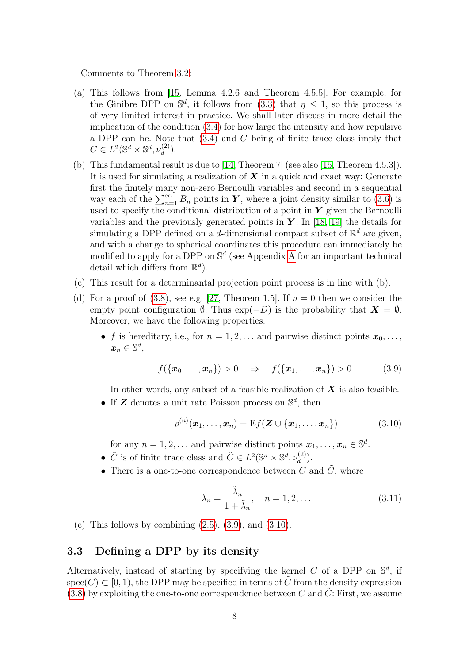Comments to Theorem [3.2:](#page-6-0)

- (a) This follows from [\[15,](#page-29-0) Lemma 4.2.6 and Theorem 4.5.5]. For example, for the Ginibre DPP on  $\mathbb{S}^d$ , it follows from [\(3.3\)](#page-5-3) that  $\eta \leq 1$ , so this process is of very limited interest in practice. We shall later discuss in more detail the implication of the condition [\(3.4\)](#page-6-2) for how large the intensity and how repulsive a DPP can be. Note that  $(3.4)$  and C being of finite trace class imply that  $C \in L^2(\mathbb{S}^d \times \mathbb{S}^d, \nu_d^{(2)})$  $\binom{(2)}{d}$ .
- <span id="page-7-4"></span>(b) This fundamental result is due to [\[14,](#page-29-5) Theorem 7] (see also [\[15,](#page-29-0) Theorem 4.5.3]). It is used for simulating a realization of  $X$  in a quick and exact way: Generate first the finitely many non-zero Bernoulli variables and second in a sequential way each of the  $\sum_{n=1}^{\infty} B_n$  points in Y, where a joint density similar to [\(3.6\)](#page-6-3) is used to specify the conditional distribution of a point in  $Y$  given the Bernoulli variables and the previously generated points in  $Y$ . In [\[18,](#page-29-2) [19\]](#page-29-1) the details for simulating a DPP defined on a d-dimensional compact subset of  $\mathbb{R}^d$  are given, and with a change to spherical coordinates this procedure can immediately be modified to apply for a DPP on  $\mathbb{S}^d$  (see [A](#page-25-0)ppendix A for an important technical detail which differs from  $\mathbb{R}^d$ .
- (c) This result for a determinantal projection point process is in line with (b).
- (d) For a proof of [\(3.8\)](#page-6-4), see e.g. [\[27,](#page-29-6) Theorem 1.5]. If  $n = 0$  then we consider the empty point configuration  $\emptyset$ . Thus exp(-D) is the probability that  $\mathbf{X} = \emptyset$ . Moreover, we have the following properties:
	- f is hereditary, i.e., for  $n = 1, 2, \ldots$  and pairwise distinct points  $x_0, \ldots$ ,  $\boldsymbol{x}_n \in \mathbb{S}^{d},$

<span id="page-7-1"></span>
$$
f(\{\bm{x}_0,\ldots,\bm{x}_n\})>0 \quad \Rightarrow \quad f(\{\bm{x}_1,\ldots,\bm{x}_n\})>0. \tag{3.9}
$$

In other words, any subset of a feasible realization of  $X$  is also feasible.

• If  $Z$  denotes a unit rate Poisson process on  $\mathbb{S}^d$ , then

<span id="page-7-2"></span>
$$
\rho^{(n)}(\boldsymbol{x}_1,\ldots,\boldsymbol{x}_n)=\mathrm{E}f(\boldsymbol{Z}\cup\{\boldsymbol{x}_1,\ldots,\boldsymbol{x}_n\})
$$
\n(3.10)

for any  $n = 1, 2, \ldots$  and pairwise distinct points  $\boldsymbol{x}_1, \ldots, \boldsymbol{x}_n \in \mathbb{S}^d$ .

- $\tilde{C}$  is of finite trace class and  $\tilde{C} \in L^2(\mathbb{S}^d \times \mathbb{S}^d, \nu_d^{(2)})$  $\binom{2}{d}$ .
- There is a one-to-one correspondence between C and  $\tilde{C}$ , where

<span id="page-7-3"></span>
$$
\lambda_n = \frac{\tilde{\lambda}_n}{1 + \tilde{\lambda}_n}, \quad n = 1, 2, \dots
$$
\n(3.11)

(e) This follows by combining  $(2.5)$ ,  $(3.9)$ , and  $(3.10)$ .

### <span id="page-7-0"></span>3.3 Defining a DPP by its density

Alternatively, instead of starting by specifying the kernel C of a DPP on  $\mathbb{S}^d$ , if spec(C)  $\subset$  [0, 1), the DPP may be specified in terms of  $\tilde{C}$  from the density expression  $(3.8)$  by exploiting the one-to-one correspondence between C and C: First, we assume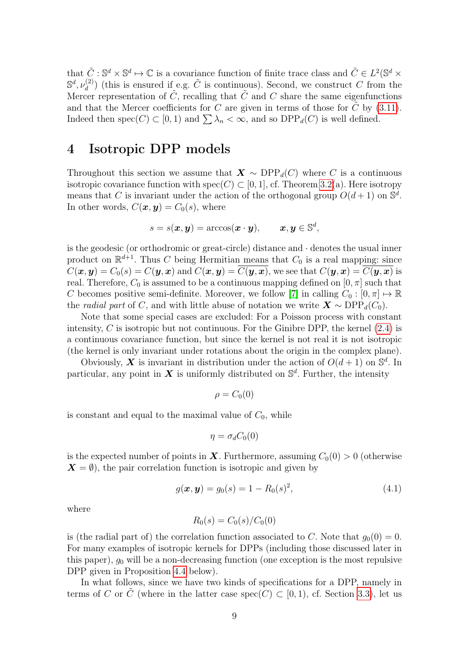that  $\tilde{C}$ :  $\mathbb{S}^d \times \mathbb{S}^d \mapsto \mathbb{C}$  is a covariance function of finite trace class and  $\tilde{C} \in L^2(\mathbb{S}^d \times$  $\mathbb{S}^{d},\nu_d^{(2)}$  $\mathcal{L}_d^{(2)}$  (this is ensured if e.g.  $\tilde{C}$  is continuous). Second, we construct C from the Mercer representation of  $\tilde{C}$ , recalling that  $\tilde{C}$  and  $C$  share the same eigenfunctions and that the Mercer coefficients for  $C$  are given in terms of those for  $C$  by [\(3.11\)](#page-7-3). Indeed then spec(C)  $\subset [0,1)$  and  $\sum_{n \leq \infty} \lambda_n < \infty$ , and so DPP<sub>d</sub>(C) is well defined.

### <span id="page-8-0"></span>4 Isotropic DPP models

Throughout this section we assume that  $\mathbf{X} \sim \text{DPP}_d(C)$  where C is a continuous isotropic covariance function with  $spec(C) \subset [0, 1]$ , cf. Theorem [3.2\(](#page-6-0)a). Here isotropy means that C is invariant under the action of the orthogonal group  $O(d+1)$  on  $\mathbb{S}^d$ . In other words,  $C(\boldsymbol{x}, \boldsymbol{y}) = C_0(s)$ , where

$$
s = s(\boldsymbol{x}, \boldsymbol{y}) = \arccos(\boldsymbol{x} \cdot \boldsymbol{y}), \qquad \boldsymbol{x}, \boldsymbol{y} \in \mathbb{S}^d,
$$

is the geodesic (or orthodromic or great-circle) distance and · denotes the usual inner product on  $\mathbb{R}^{d+1}$ . Thus C being Hermitian means that  $C_0$  is a real mapping: since  $C(\bm{x}, \bm{y}) = C_0(s) = C(\bm{y}, \bm{x})$  and  $C(\bm{x}, \bm{y}) = \overline{C(\bm{y}, \bm{x})}$ , we see that  $C(\bm{y}, \bm{x}) = \overline{C(\bm{y}, \bm{x})}$  is real. Therefore,  $C_0$  is assumed to be a continuous mapping defined on  $[0, \pi]$  such that C becomes positive semi-definite. Moreover, we follow [\[7\]](#page-28-4) in calling  $C_0: [0, \pi] \mapsto \mathbb{R}$ the *radial part* of C, and with little abuse of notation we write  $\mathbf{X} \sim \text{DPP}_d(C_0)$ .

Note that some special cases are excluded: For a Poisson process with constant intensity,  $C$  is isotropic but not continuous. For the Ginibre DPP, the kernel  $(2.4)$  is a continuous covariance function, but since the kernel is not real it is not isotropic (the kernel is only invariant under rotations about the origin in the complex plane).

Obviously, X is invariant in distribution under the action of  $O(d+1)$  on  $\mathbb{S}^d$ . In particular, any point in  $X$  is uniformly distributed on  $\mathbb{S}^d$ . Further, the intensity

$$
\rho = C_0(0)
$$

is constant and equal to the maximal value of  $C_0$ , while

$$
\eta = \sigma_d C_0(0)
$$

is the expected number of points in **X**. Furthermore, assuming  $C_0(0) > 0$  (otherwise  $\mathbf{X} = \emptyset$ , the pair correlation function is isotropic and given by

$$
g(\boldsymbol{x}, \boldsymbol{y}) = g_0(s) = 1 - R_0(s)^2,
$$
\n(4.1)

where

$$
R_0(s) = C_0(s) / C_0(0)
$$

is (the radial part of) the correlation function associated to C. Note that  $g_0(0) = 0$ . For many examples of isotropic kernels for DPPs (including those discussed later in this paper),  $g_0$  will be a non-decreasing function (one exception is the most repulsive DPP given in Proposition [4.4](#page-15-0) below).

In what follows, since we have two kinds of specifications for a DPP, namely in terms of C or C (where in the latter case  $spec(C) \subset [0,1)$ , cf. Section [3.3\)](#page-7-0), let us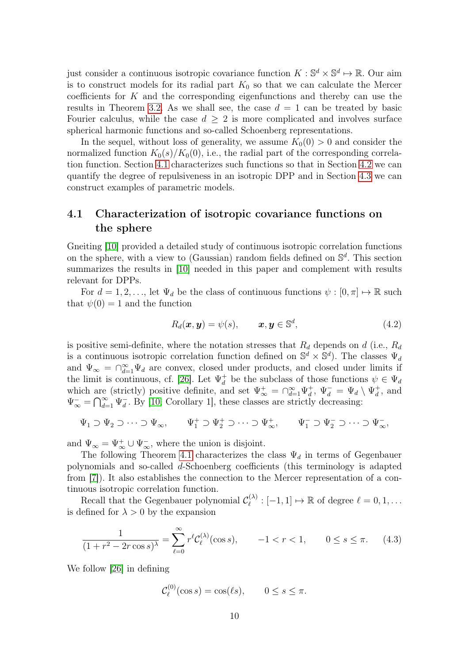just consider a continuous isotropic covariance function  $K : \mathbb{S}^d \times \mathbb{S}^d \mapsto \mathbb{R}$ . Our aim is to construct models for its radial part  $K_0$  so that we can calculate the Mercer coefficients for K and the corresponding eigenfunctions and thereby can use the results in Theorem [3.2.](#page-6-0) As we shall see, the case  $d = 1$  can be treated by basic Fourier calculus, while the case  $d \geq 2$  is more complicated and involves surface spherical harmonic functions and so-called Schoenberg representations.

In the sequel, without loss of generality, we assume  $K_0(0) > 0$  and consider the normalized function  $K_0(s)/K_0(0)$ , i.e., the radial part of the corresponding correlation function. Section [4.1](#page-9-0) characterizes such functions so that in Section [4.2](#page-13-0) we can quantify the degree of repulsiveness in an isotropic DPP and in Section [4.3](#page-16-0) we can construct examples of parametric models.

### <span id="page-9-0"></span>4.1 Characterization of isotropic covariance functions on the sphere

Gneiting [\[10\]](#page-28-0) provided a detailed study of continuous isotropic correlation functions on the sphere, with a view to (Gaussian) random fields defined on  $\mathbb{S}^d$ . This section summarizes the results in [\[10\]](#page-28-0) needed in this paper and complement with results relevant for DPPs.

For  $d = 1, 2, \ldots$ , let  $\Psi_d$  be the class of continuous functions  $\psi : [0, \pi] \mapsto \mathbb{R}$  such that  $\psi(0) = 1$  and the function

<span id="page-9-1"></span>
$$
R_d(\boldsymbol{x}, \boldsymbol{y}) = \psi(s), \qquad \boldsymbol{x}, \boldsymbol{y} \in \mathbb{S}^d,
$$
\n(4.2)

is positive semi-definite, where the notation stresses that  $R_d$  depends on d (i.e.,  $R_d$ is a continuous isotropic correlation function defined on  $\mathbb{S}^d \times \mathbb{S}^d$ ). The classes  $\Psi_d$ and  $\Psi_{\infty} = \bigcap_{d=1}^{\infty} \Psi_d$  are convex, closed under products, and closed under limits if the limit is continuous, cf. [\[26\]](#page-29-7). Let  $\Psi_d^+$ <sup> $^+_d$ </sup> be the subclass of those functions  $\psi \in \Psi_d$ which are (strictly) positive definite, and set  $\Psi^+_{\infty} = \bigcap_{d=1}^{\infty} \Psi^+_d$  $\frac{1}{d}$ ,  $\Psi_d^- = \Psi_d \setminus \Psi_d^+$  $_d^+$ , and  $\Psi_\infty^- = \bigcap_{d=1}^\infty \Psi_d^ _{d}^{-}$ . By [\[10,](#page-28-0) Corollary 1], these classes are strictly decreasing:

$$
\Psi_1 \supset \Psi_2 \supset \cdots \supset \Psi_{\infty}, \qquad \Psi_1^+ \supset \Psi_2^+ \supset \cdots \supset \Psi_{\infty}^+, \qquad \Psi_1^- \supset \Psi_2^- \supset \cdots \supset \Psi_{\infty}^-,
$$

and  $\Psi_{\infty} = \Psi_{\infty}^{+} \cup \Psi_{\infty}^{-}$ , where the union is disjoint.

The following Theorem [4.1](#page-10-0) characterizes the class  $\Psi_d$  in terms of Gegenbauer polynomials and so-called d-Schoenberg coefficients (this terminology is adapted from [\[7\]](#page-28-4)). It also establishes the connection to the Mercer representation of a continuous isotropic correlation function.

Recall that the Gegenbauer polynomial  $\mathcal{C}_{\ell}^{(\lambda)}$  $\mathcal{L}^{(\lambda)}_{\ell} : [-1, 1] \mapsto \mathbb{R}$  of degree  $\ell = 0, 1, \dots$ is defined for  $\lambda > 0$  by the expansion

<span id="page-9-2"></span>
$$
\frac{1}{(1+r^2-2r\cos s)^{\lambda}} = \sum_{\ell=0}^{\infty} r^{\ell} \mathcal{C}_{\ell}^{(\lambda)}(\cos s), \qquad -1 < r < 1, \qquad 0 \le s \le \pi. \tag{4.3}
$$

We follow [\[26\]](#page-29-7) in defining

$$
\mathcal{C}^{(0)}_{\ell}(\cos s) = \cos(\ell s), \qquad 0 \le s \le \pi.
$$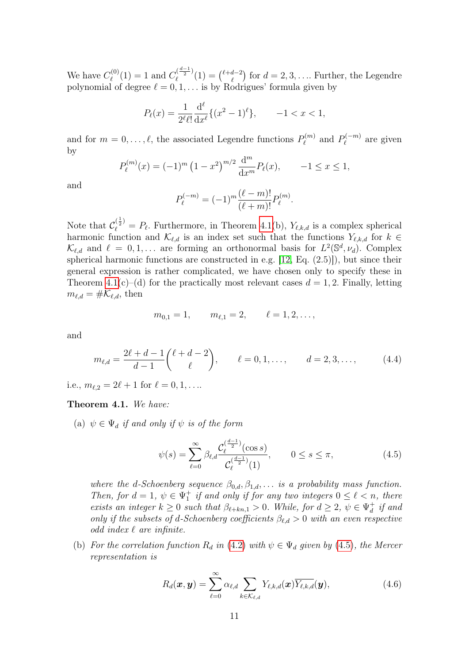We have  $C_{\ell}^{(0)}$  $C_{\ell}^{(0)}(1) = 1$  and  $C_{\ell}^{(\frac{d-1}{2})}$  $\binom{\frac{a-1}{2}}{\ell}(1) = \binom{\ell+d-2}{\ell}$  $\binom{d-2}{\ell}$  for  $d = 2, 3, \ldots$  Further, the Legendre polynomial of degree  $\ell = 0, 1, \ldots$  is by Rodrigues' formula given by

$$
P_{\ell}(x) = \frac{1}{2^{\ell}\ell!} \frac{\mathrm{d}^{\ell}}{\mathrm{d}x^{\ell}} \{ (x^2 - 1)^{\ell} \}, \qquad -1 < x < 1,
$$

and for  $m = 0, \ldots, \ell$ , the associated Legendre functions  $P_{\ell}^{(m)}$  $P_\ell^{(m)}$  and  $P_\ell^{(-m)}$  $\ell^{(m)}$  are given by

$$
P_{\ell}^{(m)}(x) = (-1)^m \left(1 - x^2\right)^{m/2} \frac{\mathrm{d}^m}{\mathrm{d}x^m} P_{\ell}(x), \qquad -1 \le x \le 1,
$$

and

$$
P_{\ell}^{(-m)} = (-1)^{m} \frac{(\ell - m)!}{(\ell + m)!} P_{\ell}^{(m)}.
$$

Note that  $\mathcal{C}_{\ell}^{(\frac{1}{2})} = P_{\ell}$ . Furthermore, in Theorem [4.1\(](#page-10-0)b),  $Y_{\ell,k,d}$  is a complex spherical harmonic function and  $\mathcal{K}_{\ell,d}$  is an index set such that the functions  $Y_{\ell,k,d}$  for  $k \in$  $\mathcal{K}_{\ell,d}$  and  $\ell = 0,1,\ldots$  are forming an orthonormal basis for  $L^2(\mathbb{S}^d,\nu_d)$ . Complex spherical harmonic functions are constructed in e.g. [\[12,](#page-29-8) Eq. (2.5)]), but since their general expression is rather complicated, we have chosen only to specify these in Theorem [4.1\(](#page-10-0)c)–(d) for the practically most relevant cases  $d = 1, 2$ . Finally, letting  $m_{\ell,d} = \#\mathcal{K}_{\ell,d}$ , then

$$
m_{0,1} = 1,
$$
  $m_{\ell,1} = 2,$   $\ell = 1, 2, ...,$ 

and

<span id="page-10-3"></span>
$$
m_{\ell,d} = \frac{2\ell + d - 1}{d - 1} {\ell + d - 2 \choose \ell}, \qquad \ell = 0, 1, ..., \qquad d = 2, 3, ..., \qquad (4.4)
$$

i.e.,  $m_{\ell,2} = 2\ell + 1$  for  $\ell = 0, 1, \ldots$ .

#### <span id="page-10-0"></span>Theorem 4.1. We have:

(a)  $\psi \in \Psi_d$  if and only if  $\psi$  is of the form

<span id="page-10-1"></span>
$$
\psi(s) = \sum_{\ell=0}^{\infty} \beta_{\ell,d} \frac{\mathcal{C}_{\ell}^{(\frac{d-1}{2})}(\cos s)}{\mathcal{C}_{\ell}^{(\frac{d-1}{2})}(1)}, \qquad 0 \le s \le \pi,
$$
\n(4.5)

where the d-Schoenberg sequence  $\beta_{0,d}, \beta_{1,d}, \ldots$  is a probability mass function. Then, for  $d = 1$ ,  $\psi \in \Psi_1^+$  if and only if for any two integers  $0 \leq \ell < n$ , there exists an integer  $k \geq 0$  such that  $\beta_{\ell+kn,1} > 0$ . While, for  $d \geq 2$ ,  $\psi \in \Psi_d^+$  $_d^+$  if and only if the subsets of d-Schoenberg coefficients  $\beta_{\ell,d} > 0$  with an even respective odd index  $\ell$  are infinite.

(b) For the correlation function  $R_d$  in [\(4.2\)](#page-9-1) with  $\psi \in \Psi_d$  given by [\(4.5\)](#page-10-1), the Mercer representation is

<span id="page-10-2"></span>
$$
R_d(\boldsymbol{x}, \boldsymbol{y}) = \sum_{\ell=0}^{\infty} \alpha_{\ell, d} \sum_{k \in \mathcal{K}_{\ell, d}} Y_{\ell, k, d}(\boldsymbol{x}) \overline{Y_{\ell, k, d}}(\boldsymbol{y}), \qquad (4.6)
$$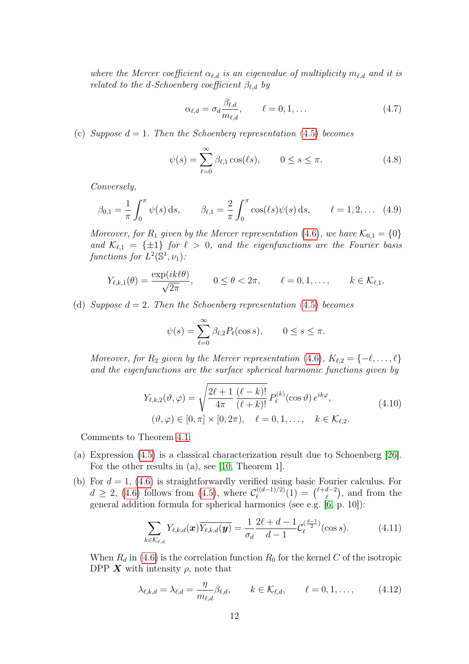where the Mercer coefficient  $\alpha_{\ell,d}$  is an eigenvalue of multiplicity  $m_{\ell,d}$  and it is related to the d-Schoenberg coefficient  $\beta_{\ell,d}$  by

<span id="page-11-0"></span>
$$
\alpha_{\ell,d} = \sigma_d \frac{\beta_{\ell,d}}{m_{\ell,d}}, \qquad \ell = 0, 1, \dots \tag{4.7}
$$

(c) Suppose  $d = 1$ . Then the Schoenberg representation [\(4.5\)](#page-10-1) becomes

$$
\psi(s) = \sum_{\ell=0}^{\infty} \beta_{\ell,1} \cos(\ell s), \qquad 0 \le s \le \pi.
$$
\n(4.8)

Conversely,

<span id="page-11-4"></span>
$$
\beta_{0,1} = \frac{1}{\pi} \int_0^{\pi} \psi(s) \, ds, \qquad \beta_{\ell,1} = \frac{2}{\pi} \int_0^{\pi} \cos(\ell s) \psi(s) \, ds, \qquad \ell = 1, 2, \dots \quad (4.9)
$$

Moreover, for  $R_1$  given by the Mercer representation [\(4.6\)](#page-10-2), we have  $\mathcal{K}_{0,1} = \{0\}$ and  $\mathcal{K}_{\ell,1} = {\pm 1}$  for  $\ell > 0$ , and the eigenfunctions are the Fourier basis functions for  $L^2(\mathbb{S}^1,\nu_1)$ :

$$
Y_{\ell,k,1}(\theta) = \frac{\exp(ik\ell\theta)}{\sqrt{2\pi}}, \qquad 0 \le \theta < 2\pi, \qquad \ell = 0, 1, \ldots, \qquad k \in \mathcal{K}_{\ell,1}.
$$

(d) Suppose  $d = 2$ . Then the Schoenberg representation [\(4.5\)](#page-10-1) becomes

$$
\psi(s) = \sum_{\ell=0}^{\infty} \beta_{\ell,2} P_{\ell}(\cos s), \qquad 0 \le s \le \pi.
$$

Moreover, for  $R_2$  given by the Mercer representation [\(4.6\)](#page-10-2),  $K_{\ell,2} = \{-\ell, \ldots, \ell\}$ and the eigenfunctions are the surface spherical harmonic functions given by

<span id="page-11-2"></span>
$$
Y_{\ell,k,2}(\vartheta,\varphi) = \sqrt{\frac{2\ell+1}{4\pi} \frac{(\ell-k)!}{(\ell+k)!}} P_{\ell}^{(k)}(\cos\vartheta) e^{ik\varphi},
$$
  

$$
(\vartheta,\varphi) \in [0,\pi] \times [0,2\pi), \quad \ell = 0,1,\ldots, \quad k \in \mathcal{K}_{\ell,2}.
$$
 (4.10)

Comments to Theorem [4.1:](#page-10-0)

- (a) Expression [\(4.5\)](#page-10-1) is a classical characterization result due to Schoenberg [\[26\]](#page-29-7). For the other results in (a), see [\[10,](#page-28-0) Theorem 1].
- (b) For  $d = 1$ , [\(4.6\)](#page-10-2) is straightforwardly verified using basic Fourier calculus. For  $d \geq 2, (4.6)$  $d \geq 2, (4.6)$  follows from  $(4.5)$ , where  $\mathcal{C}_{\ell}^{((d-1)/2)}$  $\ell^{((d-1)/2)}(1) = \ell^{\ell+d-2}$  $\binom{d-2}{\ell}$ , and from the general addition formula for spherical harmonics (see e.g. [\[6,](#page-28-2) p. 10]):

<span id="page-11-3"></span>
$$
\sum_{k \in \mathcal{K}_{\ell,d}} Y_{\ell,k,d}(\boldsymbol{x}) \overline{Y_{\ell,k,d}(\boldsymbol{y})} = \frac{1}{\sigma_d} \frac{2\ell + d - 1}{d - 1} \mathcal{C}_{\ell}^{(\frac{d-1}{2})}(\cos s).
$$
(4.11)

When  $R_d$  in [\(4.6\)](#page-10-2) is the correlation function  $R_0$  for the kernel C of the isotropic DPP  $\boldsymbol{X}$  with intensity  $\rho$ , note that

<span id="page-11-1"></span>
$$
\lambda_{\ell,k,d} = \lambda_{\ell,d} = \frac{\eta}{m_{\ell,d}} \beta_{\ell,d}, \qquad k \in \mathcal{K}_{\ell,d}, \qquad \ell = 0, 1, \dots,
$$
 (4.12)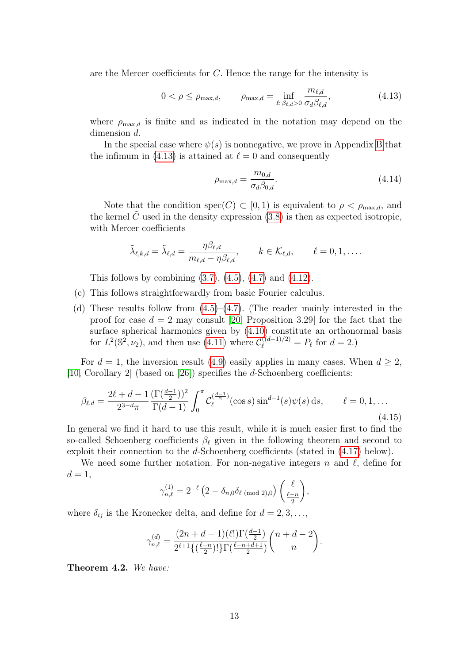are the Mercer coefficients for C. Hence the range for the intensity is

<span id="page-12-0"></span>
$$
0 < \rho \le \rho_{\max,d}, \qquad \rho_{\max,d} = \inf_{\ell:\,\beta_{\ell,d} > 0} \frac{m_{\ell,d}}{\sigma_d \beta_{\ell,d}},\tag{4.13}
$$

where  $\rho_{\text{max},d}$  is finite and as indicated in the notation may depend on the dimension d.

In the special case where  $\psi(s)$  is nonnegative, we prove in Appendix [B](#page-25-1) that the infimum in [\(4.13\)](#page-12-0) is attained at  $\ell = 0$  and consequently

<span id="page-12-3"></span>
$$
\rho_{\max,d} = \frac{m_{0,d}}{\sigma_d \beta_{0,d}}.\tag{4.14}
$$

Note that the condition spec $(C) \subset [0, 1)$  is equivalent to  $\rho < \rho_{\max,d}$ , and the kernel  $\tilde{C}$  used in the density expression [\(3.8\)](#page-6-4) is then as expected isotropic, with Mercer coefficients

$$
\tilde{\lambda}_{\ell,k,d} = \tilde{\lambda}_{\ell,d} = \frac{\eta \beta_{\ell,d}}{m_{\ell,d} - \eta \beta_{\ell,d}}, \qquad k \in \mathcal{K}_{\ell,d}, \qquad \ell = 0, 1, \dots
$$

This follows by combining  $(3.7)$ ,  $(4.5)$ ,  $(4.7)$  and  $(4.12)$ .

- (c) This follows straightforwardly from basic Fourier calculus.
- (d) These results follow from  $(4.5)$ – $(4.7)$ . (The reader mainly interested in the proof for case  $d = 2$  may consult [\[20,](#page-29-9) Proposition 3.29] for the fact that the surface spherical harmonics given by [\(4.10\)](#page-11-2) constitute an orthonormal basis for  $L^2(\mathbb{S}^2, \nu_2)$ , and then use [\(4.11\)](#page-11-3) where  $\mathcal{C}_{\ell}^{((d-1)/2)} = P_{\ell}$  for  $d = 2$ .)

For  $d = 1$ , the inversion result [\(4.9\)](#page-11-4) easily applies in many cases. When  $d \geq 2$ , [\[10,](#page-28-0) Corollary 2] (based on [\[26\]](#page-29-7)) specifies the d-Schoenberg coefficients:

<span id="page-12-2"></span>
$$
\beta_{\ell,d} = \frac{2\ell + d - 1}{2^{3-d}\pi} \frac{\left(\Gamma(\frac{d-1}{2})\right)^2}{\Gamma(d-1)} \int_0^\pi \mathcal{C}_{\ell}^{(\frac{d-1}{2})}(\cos s) \sin^{d-1}(s) \psi(s) \,ds, \qquad \ell = 0, 1, \dots
$$
\n(4.15)

In general we find it hard to use this result, while it is much easier first to find the so-called Schoenberg coefficients  $\beta_{\ell}$  given in the following theorem and second to exploit their connection to the d-Schoenberg coefficients (stated in [\(4.17\)](#page-13-1) below).

We need some further notation. For non-negative integers n and  $\ell$ , define for  $d=1,$ 

$$
\gamma_{n,\ell}^{(1)} = 2^{-\ell} \left( 2 - \delta_{n,0} \delta_{\ell \pmod{2},0} \right) \binom{\ell}{\frac{\ell-n}{2}},
$$

where  $\delta_{ij}$  is the Kronecker delta, and define for  $d = 2, 3, \ldots$ ,

$$
\gamma_{n,\ell}^{(d)} = \frac{(2n+d-1)(\ell!) \Gamma(\frac{d-1}{2})}{2^{\ell+1} \{(\frac{\ell-n}{2})!\} \Gamma(\frac{\ell+n+d+1}{2})} {n+d-2 \choose n}.
$$

<span id="page-12-1"></span>Theorem 4.2. We have: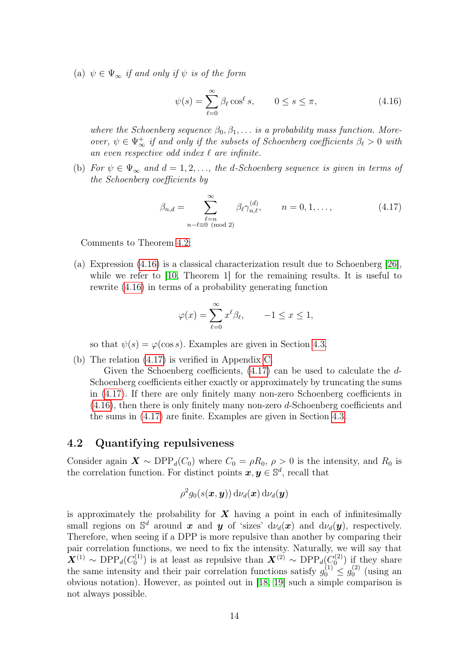(a)  $\psi \in \Psi_{\infty}$  if and only if  $\psi$  is of the form

<span id="page-13-2"></span>
$$
\psi(s) = \sum_{\ell=0}^{\infty} \beta_{\ell} \cos^{\ell} s, \qquad 0 \le s \le \pi,
$$
\n(4.16)

where the Schoenberg sequence  $\beta_0, \beta_1, \ldots$  is a probability mass function. Moreover,  $\psi \in \Psi_{\infty}^{+}$  if and only if the subsets of Schoenberg coefficients  $\beta_{\ell} > 0$  with an even respective odd index  $\ell$  are infinite.

(b) For  $\psi \in \Psi_{\infty}$  and  $d = 1, 2, \ldots$ , the d-Schoenberg sequence is given in terms of the Schoenberg coefficients by

<span id="page-13-1"></span>
$$
\beta_{n,d} = \sum_{\substack{\ell=n\\n-\ell \equiv 0 \pmod{2}}}^{\infty} \beta_{\ell} \gamma_{n,\ell}^{(d)}, \qquad n = 0, 1, \dots,
$$
\n(4.17)

Comments to Theorem [4.2:](#page-12-1)

(a) Expression [\(4.16\)](#page-13-2) is a classical characterization result due to Schoenberg [\[26\]](#page-29-7), while we refer to [\[10,](#page-28-0) Theorem 1] for the remaining results. It is useful to rewrite [\(4.16\)](#page-13-2) in terms of a probability generating function

$$
\varphi(x) = \sum_{\ell=0}^{\infty} x^{\ell} \beta_{\ell}, \qquad -1 \le x \le 1,
$$

so that  $\psi(s) = \varphi(\cos s)$ . Examples are given in Section [4.3.](#page-16-0)

(b) The relation [\(4.17\)](#page-13-1) is verified in Appendix [C.](#page-26-0)

Given the Schoenberg coefficients,  $(4.17)$  can be used to calculate the d-Schoenberg coefficients either exactly or approximately by truncating the sums in [\(4.17\)](#page-13-1). If there are only finitely many non-zero Schoenberg coefficients in  $(4.16)$ , then there is only finitely many non-zero d-Schoenberg coefficients and the sums in [\(4.17\)](#page-13-1) are finite. Examples are given in Section [4.3.](#page-16-0)

### <span id="page-13-0"></span>4.2 Quantifying repulsiveness

Consider again  $\mathbf{X} \sim \text{DPP}_d(C_0)$  where  $C_0 = \rho R_0$ ,  $\rho > 0$  is the intensity, and  $R_0$  is the correlation function. For distinct points  $x, y \in \mathbb{S}^d$ , recall that

$$
\rho^2 g_0(s(\boldsymbol{x},\boldsymbol{y})) \,\mathrm{d}\nu_d(\boldsymbol{x})\,\mathrm{d}\nu_d(\boldsymbol{y})
$$

is approximately the probability for  $X$  having a point in each of infinitesimally small regions on  $\mathbb{S}^d$  around x and y of 'sizes'  $d\nu_d(x)$  and  $d\nu_d(y)$ , respectively. Therefore, when seeing if a DPP is more repulsive than another by comparing their pair correlation functions, we need to fix the intensity. Naturally, we will say that  $\boldsymbol{X}^{(1)} \sim \text{DPP}_d(C_0^{(1)})$  $\mathcal{X}^{(1)}$ ) is at least as repulsive than  $\mathbf{X}^{(2)} \sim \text{DPP}_d(\mathcal{C}_0^{(2)})$  $\binom{1}{0}$  if they share the same intensity and their pair correlation functions satisfy  $g_0^{(1)} \n\t\leq g_0^{(2)}$  $\int_0^{(2)}$  (using an obvious notation). However, as pointed out in [\[18,](#page-29-2) [19\]](#page-29-1) such a simple comparison is not always possible.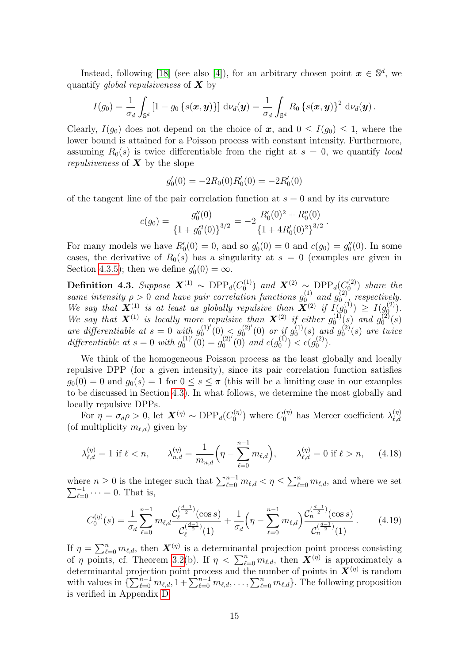Instead, following [\[18\]](#page-29-2) (see also [\[4\]](#page-28-5)), for an arbitrary chosen point  $x \in \mathbb{S}^d$ , we quantify global repulsiveness of  $X$  by

$$
I(g_0) = \frac{1}{\sigma_d} \int_{\mathbb{S}^d} \left[1 - g_0\left\{s(\boldsymbol{x}, \boldsymbol{y})\right\}\right] \, \mathrm{d}\nu_d(\boldsymbol{y}) = \frac{1}{\sigma_d} \int_{\mathbb{S}^d} R_0 \left\{s(\boldsymbol{x}, \boldsymbol{y})\right\}^2 \, \mathrm{d}\nu_d(\boldsymbol{y}) \, .
$$

Clearly,  $I(g_0)$  does not depend on the choice of x, and  $0 \leq I(g_0) \leq 1$ , where the lower bound is attained for a Poisson process with constant intensity. Furthermore, assuming  $R_0(s)$  is twice differentiable from the right at  $s = 0$ , we quantify *local repulsiveness* of  $X$  by the slope

$$
g'_0(0) = -2R_0(0)R'_0(0) = -2R'_0(0)
$$

of the tangent line of the pair correlation function at  $s = 0$  and by its curvature

$$
c(g_0) = \frac{g_0''(0)}{\left\{1 + g_0'^2(0)\right\}^{3/2}} = -2\frac{R_0'(0)^2 + R_0''(0)}{\left\{1 + 4R_0'(0)^2\right\}^{3/2}}.
$$

For many models we have  $R'_0(0) = 0$ , and so  $g'_0(0) = 0$  and  $c(g_0) = g''_0(0)$ . In some cases, the derivative of  $R_0(s)$  has a singularity at  $s = 0$  (examples are given in Section [4.3.5\)](#page-21-0); then we define  $g'_0(0) = \infty$ .

Definition 4.3.  $Suppose$   $\boldsymbol{X}^{(1)} \sim \text{DPP}_d(C_0^{(1)})$  $\mathcal{L}^{(1)}_{0}$  and  $\mathbf{X}^{(2)} \sim \text{DPP}_d(C_0^{(2)})$  $\binom{1}{0}$  share the same intensity  $\rho > 0$  and have pair correlation functions  $g_0^{(1)}$  and  $g_0^{(2)}$  $\int_0^{(2)}$ , respectively. We say that  $\mathbf{X}^{(1)}$  is at least as globally repulsive than  $\mathbf{X}^{(2)}$  if  $I(g_0^{(1)})$  $I_{0}^{(1)}$ )  $\geq I_{\left(g_{0}^{(2)}\right)}$  $\binom{(2)}{0}$ . We say that  $\mathbf{X}^{(1)}$  is locally more repulsive than  $\mathbf{X}^{(2)}$  if either  $g_0^{(1)}$  $g_0^{(1)}(s)$  and  $g_0^{(2)}$  $\binom{2}{0}(s)$ are differentiable at  $s = 0$  with  $g_0^{(1)}$  $g_0^{(1)'}(0) \leq g_0^{(2)'}(0)$  or if  $g_0^{(1)}$  $g_0^{(1)}(s)$  and  $g_0^{(2)}$  $\binom{2}{0}(s)$  are twice differentiable at  $s = 0$  with  $g_0^{(1)}$  $g_0^{(1)'}(0) = g_0^{(2)'}$  $\binom{(2)'}{0}$  and  $c(g_0^{(1)})$  $c(g_0^{(1)}) < c(g_0^{(2)})$  $\binom{(2)}{0}$ .

We think of the homogeneous Poisson process as the least globally and locally repulsive DPP (for a given intensity), since its pair correlation function satisfies  $g_0(0) = 0$  and  $g_0(s) = 1$  for  $0 \le s \le \pi$  (this will be a limiting case in our examples to be discussed in Section [4.3\)](#page-16-0). In what follows, we determine the most globally and locally repulsive DPPs.

For  $\eta = \sigma_d \rho > 0$ , let  $\mathbf{X}^{(\eta)} \sim \text{DPP}_d(C_0^{(\eta)})$  $O_0^{(\eta)}$ ) where  $C_0^{(\eta)}$  has Mercer coefficient  $\lambda_{\ell,d}^{(\eta)}$  $_{\ell,d}$ (of multiplicity  $m_{\ell,d}$ ) given by

<span id="page-14-0"></span>
$$
\lambda_{\ell,d}^{(\eta)} = 1 \text{ if } \ell < n, \qquad \lambda_{n,d}^{(\eta)} = \frac{1}{m_{n,d}} \left( \eta - \sum_{\ell=0}^{n-1} m_{\ell,d} \right), \qquad \lambda_{\ell,d}^{(\eta)} = 0 \text{ if } \ell > n, \tag{4.18}
$$

where  $n \geq 0$  is the integer such that  $\sum_{\ell=0}^{n-1} m_{\ell,d} < \eta \leq \sum_{\ell=0}^{n} m_{\ell,d}$ , and where we set  $\sum_{\ell=0}^{-1} \cdots = 0$ . That is,

<span id="page-14-1"></span>
$$
C_0^{(\eta)}(s) = \frac{1}{\sigma_d} \sum_{\ell=0}^{n-1} m_{\ell,d} \frac{\mathcal{C}_{\ell}^{(\frac{d-1}{2})}(\cos s)}{\mathcal{C}_{\ell}^{(\frac{d-1}{2})}(1)} + \frac{1}{\sigma_d} \left(\eta - \sum_{\ell=0}^{n-1} m_{\ell,d}\right) \frac{\mathcal{C}_{n}^{(\frac{d-1}{2})}(\cos s)}{\mathcal{C}_{n}^{(\frac{d-1}{2})}(1)}.
$$
(4.19)

If  $\eta = \sum_{\ell=0}^n m_{\ell,d}$ , then  $\boldsymbol{X}^{(\eta)}$  is a determinantal projection point process consisting of  $\eta$  points, cf. Theorem [3.2\(](#page-6-0)b). If  $\eta < \sum_{\ell=0}^n m_{\ell,d}$ , then  $\mathbf{X}^{(\eta)}$  is approximately a determinantal projection point process and the number of points in  $X^{(\eta)}$  is random with values in  $\{\sum_{\ell=0}^{n-1} m_{\ell,d}, 1+\sum_{\ell=0}^{n-1} m_{\ell,d}, \ldots, \sum_{\ell=0}^{n} m_{\ell,d}\}.$  The following proposition is verified in Appendix [D.](#page-26-1)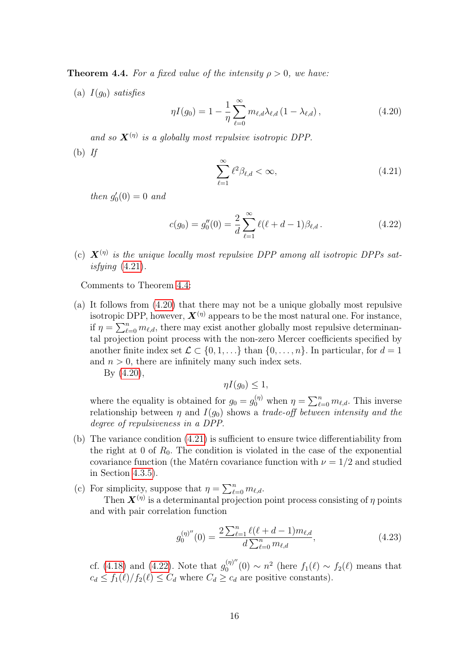<span id="page-15-0"></span>**Theorem 4.4.** For a fixed value of the intensity  $\rho > 0$ , we have:

(a)  $I(q_0)$  satisfies

<span id="page-15-2"></span>
$$
\eta I(g_0) = 1 - \frac{1}{\eta} \sum_{\ell=0}^{\infty} m_{\ell,d} \lambda_{\ell,d} (1 - \lambda_{\ell,d}), \qquad (4.20)
$$

and so  $\mathbf{X}^{(\eta)}$  is a globally most repulsive isotropic DPP.

 $(b)$  If

<span id="page-15-1"></span>
$$
\sum_{\ell=1}^{\infty} \ell^2 \beta_{\ell,d} < \infty,\tag{4.21}
$$

then  $g'_0(0) = 0$  and

<span id="page-15-3"></span>
$$
c(g_0) = g_0''(0) = \frac{2}{d} \sum_{\ell=1}^{\infty} \ell(\ell + d - 1) \beta_{\ell, d}.
$$
 (4.22)

(c)  $\mathbf{X}^{(\eta)}$  is the unique locally most repulsive DPP among all isotropic DPPs satisfying  $(4.21)$ .

Comments to Theorem [4.4:](#page-15-0)

(a) It follows from [\(4.20\)](#page-15-2) that there may not be a unique globally most repulsive isotropic DPP, however,  $\mathbf{X}^{(\eta)}$  appears to be the most natural one. For instance, if  $\eta = \sum_{\ell=0}^n m_{\ell,d}$ , there may exist another globally most repulsive determinantal projection point process with the non-zero Mercer coefficients specified by another finite index set  $\mathcal{L} \subset \{0, 1, \ldots\}$  than  $\{0, \ldots, n\}$ . In particular, for  $d = 1$ and  $n > 0$ , there are infinitely many such index sets.

By [\(4.20\)](#page-15-2),

$$
\eta I(g_0) \leq 1,
$$

where the equality is obtained for  $g_0 = g_0^{(\eta)}$  when  $\eta = \sum_{\ell=0}^n m_{\ell,d}$ . This inverse relationship between  $\eta$  and  $I(g_0)$  shows a trade-off between intensity and the degree of repulsiveness in a DPP.

- (b) The variance condition [\(4.21\)](#page-15-1) is sufficient to ensure twice differentiability from the right at 0 of  $R_0$ . The condition is violated in the case of the exponential covariance function (the Matérn covariance function with  $\nu = 1/2$  and studied in Section [4.3.5\)](#page-21-0).
- (c) For simplicity, suppose that  $\eta = \sum_{\ell=0}^n m_{\ell,d}$ . Then  $\mathbf{X}^{(\eta)}$  is a determinantal projection point process consisting of  $\eta$  points and with pair correlation function

<span id="page-15-4"></span>
$$
g_0^{(\eta)''}(0) = \frac{2\sum_{\ell=1}^n \ell(\ell+d-1)m_{\ell,d}}{d\sum_{\ell=0}^n m_{\ell,d}},
$$
\n(4.23)

cf. [\(4.18\)](#page-14-0) and [\(4.22\)](#page-15-3). Note that  $g_0^{(\eta)''}$  $f_0^{(\eta)''}(0) \sim n^2$  (here  $f_1(\ell) \sim f_2(\ell)$  means that  $c_d \le f_1(\ell)/f_2(\ell) \le C_d$  where  $C_d \ge c_d$  are positive constants).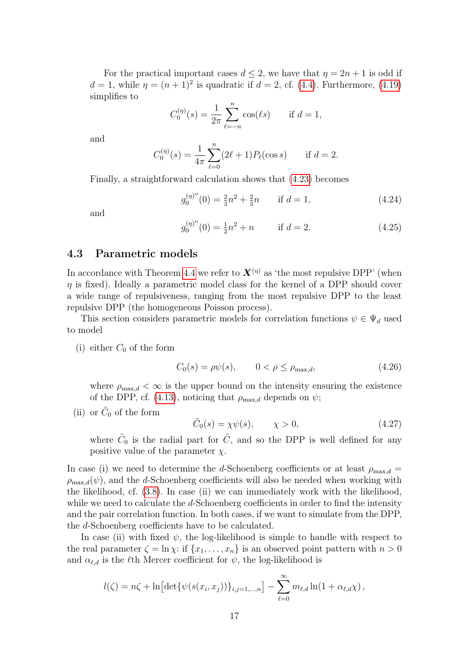For the practical important cases  $d \leq 2$ , we have that  $\eta = 2n + 1$  is odd if  $d = 1$ , while  $\eta = (n + 1)^2$  is quadratic if  $d = 2$ , cf. [\(4.4\)](#page-10-3). Furthermore, [\(4.19\)](#page-14-1) simplifies to

$$
C_0^{(\eta)}(s) = \frac{1}{2\pi} \sum_{\ell=-n}^n \cos(\ell s) \quad \text{if } d = 1,
$$

and

$$
C_0^{(\eta)}(s) = \frac{1}{4\pi} \sum_{\ell=0}^n (2\ell+1) P_\ell(\cos s) \quad \text{if } d = 2.
$$

Finally, a straightforward calculation shows that [\(4.23\)](#page-15-4) becomes

$$
g_0^{(\eta)''}(0) = \frac{2}{3}n^2 + \frac{2}{3}n \qquad \text{if } d = 1,
$$
 (4.24)

and

<span id="page-16-1"></span>
$$
g_0^{(\eta)''}(0) = \frac{1}{2}n^2 + n \qquad \text{if } d = 2. \tag{4.25}
$$

### <span id="page-16-0"></span>4.3 Parametric models

In accordance with Theorem [4.4](#page-15-0) we refer to  $\mathbf{X}^{(\eta)}$  as 'the most repulsive DPP' (when  $\eta$  is fixed). Ideally a parametric model class for the kernel of a DPP should cover a wide range of repulsiveness, ranging from the most repulsive DPP to the least repulsive DPP (the homogeneous Poisson process).

This section considers parametric models for correlation functions  $\psi \in \Psi_d$  used to model

(i) either  $C_0$  of the form

$$
C_0(s) = \rho \psi(s), \qquad 0 < \rho \le \rho_{\text{max},d}, \tag{4.26}
$$

where  $\rho_{\text{max}d} < \infty$  is the upper bound on the intensity ensuring the existence of the DPP, cf. [\(4.13\)](#page-12-0), noticing that  $\rho_{\max,d}$  depends on  $\psi$ ;

(ii) or  $\tilde{C}_0$  of the form

$$
\tilde{C}_0(s) = \chi \psi(s), \qquad \chi > 0,\tag{4.27}
$$

where  $\tilde{C}_0$  is the radial part for  $\tilde{C}$ , and so the DPP is well defined for any positive value of the parameter  $\chi$ .

In case (i) we need to determine the d-Schoenberg coefficients or at least  $\rho_{\text{max},d}$  $\rho_{\max,d}(\psi)$ , and the d-Schoenberg coefficients will also be needed when working with the likelihood, cf. [\(3.8\)](#page-6-4). In case (ii) we can immediately work with the likelihood, while we need to calculate the d-Schoenberg coefficients in order to find the intensity and the pair correlation function. In both cases, if we want to simulate from the DPP, the d-Schoenberg coefficients have to be calculated.

In case (ii) with fixed  $\psi$ , the log-likelihood is simple to handle with respect to the real parameter  $\zeta = \ln \chi$ : if  $\{x_1, \ldots, x_n\}$  is an observed point pattern with  $n > 0$ and  $\alpha_{\ell,d}$  is the  $\ell$ th Mercer coefficient for  $\psi$ , the log-likelihood is

$$
l(\zeta) = n\zeta + \ln \left[ \det \{ \psi(s(x_i, x_j)) \}_{i,j=1,\dots,n} \right] - \sum_{\ell=0}^{\infty} m_{\ell,d} \ln(1 + \alpha_{\ell,d} \chi) ,
$$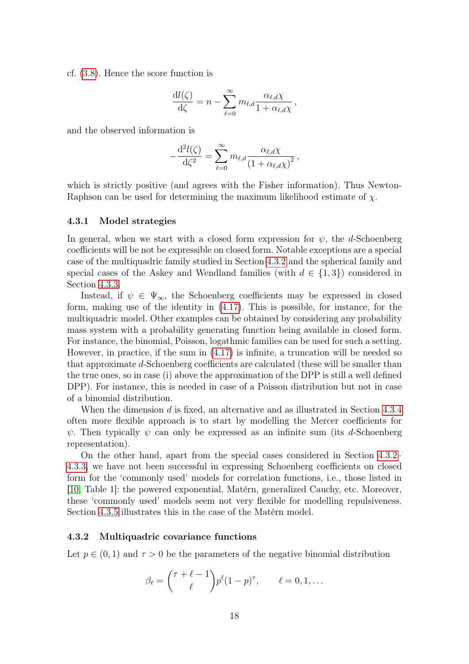cf. [\(3.8\)](#page-6-4). Hence the score function is

$$
\frac{\mathrm{d}l(\zeta)}{\mathrm{d}\zeta} = n - \sum_{\ell=0}^{\infty} m_{\ell,d} \frac{\alpha_{\ell,d}\chi}{1 + \alpha_{\ell,d}\chi},
$$

and the observed information is

$$
-\frac{\mathrm{d}^2 l(\zeta)}{\mathrm{d}\zeta^2} = \sum_{\ell=0}^{\infty} m_{\ell,d} \frac{\alpha_{\ell,d}\chi}{\left(1 + \alpha_{\ell,d}\chi\right)^2},
$$

which is strictly positive (and agrees with the Fisher information). Thus Newton-Raphson can be used for determining the maximum likelihood estimate of  $\chi$ .

#### 4.3.1 Model strategies

In general, when we start with a closed form expression for  $\psi$ , the d-Schoenberg coefficients will be not be expressible on closed form. Notable exceptions are a special case of the multiquadric family studied in Section [4.3.2](#page-17-0) and the spherical family and special cases of the Askey and Wendland families (with  $d \in \{1,3\}$ ) considered in Section [4.3.3.](#page-19-0)

Instead, if  $\psi \in \Psi_{\infty}$ , the Schoenberg coefficients may be expressed in closed form, making use of the identity in [\(4.17\)](#page-13-1). This is possible, for instance, for the multiquadric model. Other examples can be obtained by considering any probability mass system with a probability generating function being available in closed form. For instance, the binomial, Poisson, logathmic families can be used for such a setting. However, in practice, if the sum in [\(4.17\)](#page-13-1) is infinite, a truncation will be needed so that approximate d-Schoenberg coefficients are calculated (these will be smaller than the true ones, so in case (i) above the approximation of the DPP is still a well defined DPP). For instance, this is needed in case of a Poisson distribution but not in case of a binomial distribution.

When the dimension d is fixed, an alternative and as illustrated in Section [4.3.4](#page-20-0) often more flexible approach is to start by modelling the Mercer coefficients for  $\psi$ . Then typically  $\psi$  can only be expressed as an infinite sum (its d-Schoenberg representation).

On the other hand, apart from the special cases considered in Section [4.3.2–](#page-17-0) [4.3.3,](#page-19-0) we have not been successful in expressing Schoenberg coefficients on closed form for the 'commonly used' models for correlation functions, i.e., those listed in [\[10,](#page-28-0) Table 1]: the powered exponential, Matérn, generalized Cauchy, etc. Moreover, these 'commonly used' models seem not very flexible for modelling repulsiveness. Section [4.3.5](#page-21-0) illustrates this in the case of the Matérn model.

#### <span id="page-17-0"></span>4.3.2 Multiquadric covariance functions

Let  $p \in (0, 1)$  and  $\tau > 0$  be the parameters of the negative binomial distribution

$$
\beta_{\ell} = {\binom{\tau + \ell - 1}{\ell}} p^{\ell} (1 - p)^{\tau}, \qquad \ell = 0, 1, \dots
$$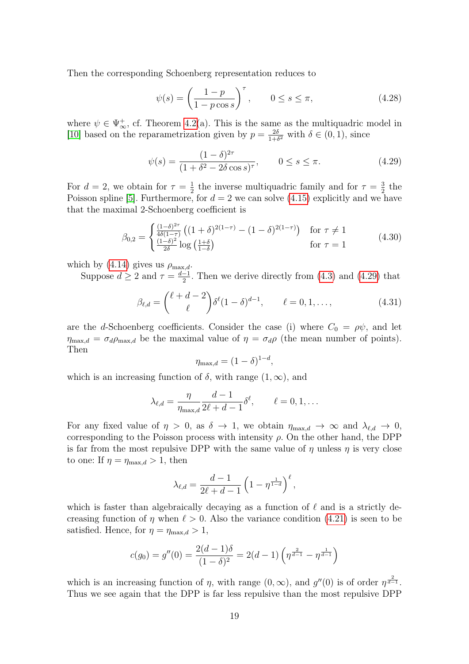Then the corresponding Schoenberg representation reduces to

$$
\psi(s) = \left(\frac{1-p}{1-p\cos s}\right)^{\tau}, \qquad 0 \le s \le \pi,
$$
\n(4.28)

where  $\psi \in \Psi_{\infty}^{+}$ , cf. Theorem [4.2\(](#page-12-1)a). This is the same as the multiquadric model in [\[10\]](#page-28-0) based on the reparametrization given by  $p = \frac{2\delta}{1+\epsilon}$  $\frac{2\delta}{1+\delta^2}$  with  $\delta \in (0,1)$ , since

<span id="page-18-0"></span>
$$
\psi(s) = \frac{(1 - \delta)^{2\tau}}{(1 + \delta^2 - 2\delta \cos s)^{\tau}}, \qquad 0 \le s \le \pi.
$$
\n(4.29)

For  $d=2$ , we obtain for  $\tau=\frac{1}{2}$  $\frac{1}{2}$  the inverse multiquadric family and for  $\tau = \frac{3}{2}$  $rac{3}{2}$  the Poisson spline [\[5\]](#page-28-6). Furthermore, for  $d = 2$  we can solve [\(4.15\)](#page-12-2) explicitly and we have that the maximal 2-Schoenberg coefficient is

<span id="page-18-1"></span>
$$
\beta_{0,2} = \begin{cases} \frac{(1-\delta)^{2\tau}}{4\delta(1-\tau)} \left( (1+\delta)^{2(1-\tau)} - (1-\delta)^{2(1-\tau)} \right) & \text{for } \tau \neq 1\\ \frac{(1-\delta)^2}{2\delta} \log \left( \frac{1+\delta}{1-\delta} \right) & \text{for } \tau = 1 \end{cases}
$$
(4.30)

which by [\(4.14\)](#page-12-3) gives us  $\rho_{\text{max},d}$ .

Suppose  $d \geq 2$  and  $\tau = \frac{d-1}{2}$  $\frac{-1}{2}$ . Then we derive directly from  $(4.3)$  and  $(4.29)$  that

$$
\beta_{\ell,d} = {\ell + d - 2 \choose \ell} \delta^{\ell} (1 - \delta)^{d-1}, \qquad \ell = 0, 1, ..., \qquad (4.31)
$$

are the d-Schoenberg coefficients. Consider the case (i) where  $C_0 = \rho \psi$ , and let  $\eta_{\text{max},d} = \sigma_d \rho_{\text{max},d}$  be the maximal value of  $\eta = \sigma_d \rho$  (the mean number of points). Then

$$
\eta_{\max,d} = (1 - \delta)^{1 - d},
$$

which is an increasing function of  $\delta$ , with range  $(1,\infty)$ , and

$$
\lambda_{\ell,d} = \frac{\eta}{\eta_{\text{max},d}} \frac{d-1}{2\ell+d-1} \delta^{\ell}, \qquad \ell = 0, 1, \dots
$$

For any fixed value of  $\eta > 0$ , as  $\delta \to 1$ , we obtain  $\eta_{\max,d} \to \infty$  and  $\lambda_{\ell,d} \to 0$ , corresponding to the Poisson process with intensity  $\rho$ . On the other hand, the DPP is far from the most repulsive DPP with the same value of  $\eta$  unless  $\eta$  is very close to one: If  $\eta = \eta_{\text{max},d} > 1$ , then

$$
\lambda_{\ell,d} = \frac{d-1}{2\ell+d-1} \left(1 - \eta^{\frac{1}{1-d}}\right)^{\ell},
$$

which is faster than algebraically decaying as a function of  $\ell$  and is a strictly decreasing function of  $\eta$  when  $\ell > 0$ . Also the variance condition [\(4.21\)](#page-15-1) is seen to be satisfied. Hence, for  $\eta = \eta_{\text{max},d} > 1$ ,

$$
c(g_0) = g''(0) = \frac{2(d-1)\delta}{(1-\delta)^2} = 2(d-1)\left(\eta^{\frac{2}{d-1}} - \eta^{\frac{1}{d-1}}\right)
$$

which is an increasing function of  $\eta$ , with range  $(0, \infty)$ , and  $g''(0)$  is of order  $\eta^{\frac{2}{d-1}}$ . Thus we see again that the DPP is far less repulsive than the most repulsive DPP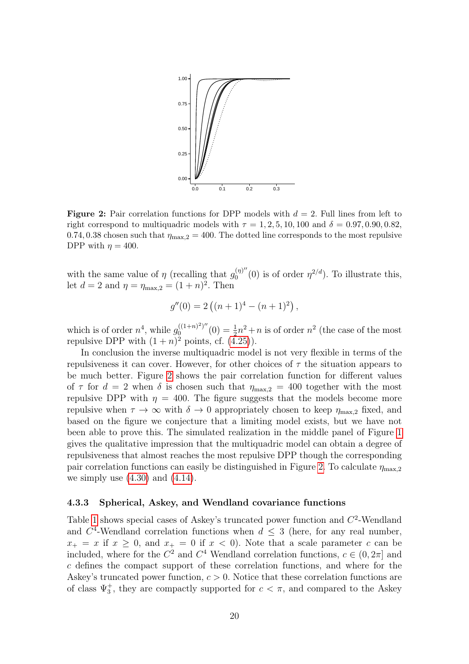<span id="page-19-1"></span>

**Figure 2:** Pair correlation functions for DPP models with  $d = 2$ . Full lines from left to right correspond to multiquadric models with  $\tau = 1, 2, 5, 10, 100$  and  $\delta = 0.97, 0.90, 0.82$ , 0.74, 0.38 chosen such that  $\eta_{\text{max},2} = 400$ . The dotted line corresponds to the most repulsive DPP with  $\eta = 400$ .

with the same value of  $\eta$  (recalling that  $g_0^{(\eta)''}$  $\eta_0^{(\eta)''}(0)$  is of order  $\eta^{2/d}$ ). To illustrate this, let  $d = 2$  and  $\eta = \eta_{\text{max},2} = (1 + n)^2$ . Then

$$
g''(0) = 2\left((n+1)^4 - (n+1)^2\right),
$$

which is of order  $n^4$ , while  $g_0^{((1+n)^2)''}$  $\lim_{\Omega}$  ((1+n)<sup>2</sup>)'' (0) =  $\frac{1}{2}n^2 + n$  is of order  $n^2$  (the case of the most repulsive DPP with  $(1+n)^2$  points, cf.  $(4.25)$ ).

In conclusion the inverse multiquadric model is not very flexible in terms of the repulsiveness it can cover. However, for other choices of  $\tau$  the situation appears to be much better. Figure [2](#page-19-1) shows the pair correlation function for different values of  $\tau$  for  $d = 2$  when  $\delta$  is chosen such that  $\eta_{\text{max},2} = 400$  together with the most repulsive DPP with  $\eta = 400$ . The figure suggests that the models become more repulsive when  $\tau \to \infty$  with  $\delta \to 0$  appropriately chosen to keep  $\eta_{\text{max},2}$  fixed, and based on the figure we conjecture that a limiting model exists, but we have not been able to prove this. The simulated realization in the middle panel of Figure [1](#page-1-0) gives the qualitative impression that the multiquadric model can obtain a degree of repulsiveness that almost reaches the most repulsive DPP though the corresponding pair correlation functions can easily be distinguished in Figure [2.](#page-19-1) To calculate  $\eta_{\text{max},2}$ we simply use  $(4.30)$  and  $(4.14)$ .

#### <span id="page-19-0"></span>4.3.3 Spherical, Askey, and Wendland covariance functions

Table [1](#page-20-1) shows special cases of Askey's truncated power function and  $C<sup>2</sup>$ -Wendland and  $C^4$ -Wendland correlation functions when  $d \leq 3$  (here, for any real number,  $x_{+} = x$  if  $x \ge 0$ , and  $x_{+} = 0$  if  $x < 0$ ). Note that a scale parameter c can be included, where for the  $C^2$  and  $C^4$  Wendland correlation functions,  $c \in (0, 2\pi]$  and  $c$  defines the compact support of these correlation functions, and where for the Askey's truncated power function,  $c > 0$ . Notice that these correlation functions are of class  $\Psi_3^+$ , they are compactly supported for  $c < \pi$ , and compared to the Askey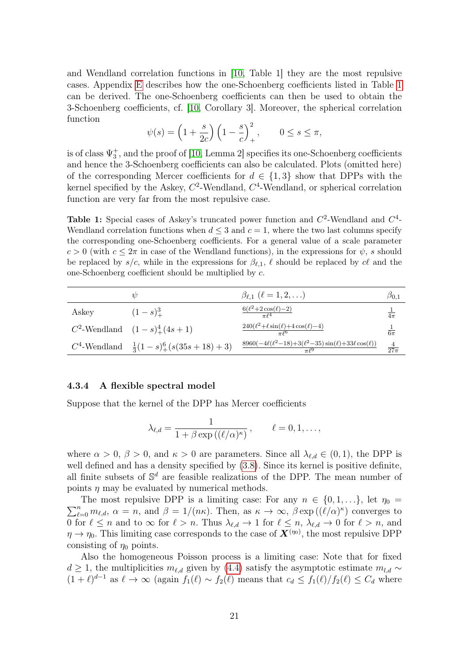and Wendland correlation functions in [\[10,](#page-28-0) Table 1] they are the most repulsive cases. Appendix [E](#page-27-0) describes how the one-Schoenberg coefficients listed in Table [1](#page-20-1) can be derived. The one-Schoenberg coefficients can then be used to obtain the 3-Schoenberg coefficients, cf. [\[10,](#page-28-0) Corollary 3]. Moreover, the spherical correlation function

$$
\psi(s) = \left(1 + \frac{s}{2c}\right) \left(1 - \frac{s}{c}\right)_+^2, \qquad 0 \le s \le \pi,
$$

is of class  $\Psi_3^+$ , and the proof of [\[10,](#page-28-0) Lemma 2] specifies its one-Schoenberg coefficients and hence the 3-Schoenberg coefficients can also be calculated. Plots (omitted here) of the corresponding Mercer coefficients for  $d \in \{1,3\}$  show that DPPs with the kernel specified by the Askey,  $C^2$ -Wendland,  $C^4$ -Wendland, or spherical correlation function are very far from the most repulsive case.

<span id="page-20-1"></span>Table 1: Special cases of Askey's truncated power function and  $C^2$ -Wendland and  $C^4$ -Wendland correlation functions when  $d \leq 3$  and  $c = 1$ , where the two last columns specify the corresponding one-Schoenberg coefficients. For a general value of a scale parameter  $c > 0$  (with  $c \leq 2\pi$  in case of the Wendland functions), in the expressions for  $\psi$ , s should be replaced by  $s/c$ , while in the expressions for  $\beta_{\ell,1}$ ,  $\ell$  should be replaced by c $\ell$  and the one-Schoenberg coefficient should be multiplied by c.

|       | $\psi$                                                | $\beta_{\ell,1}$ $(\ell = 1, 2, )$                                | $\beta_{0.1}$     |
|-------|-------------------------------------------------------|-------------------------------------------------------------------|-------------------|
| Askey | $(1-s)^{3}_{+}$                                       | $\frac{6(\ell^2+2\cos(\ell)-2)}{\pi\ell^4}$                       | $\overline{4\pi}$ |
|       | $C^2$ -Wendland $(1-s)_+^4(4s+1)$                     | $240(\ell^2 + \ell \sin(\ell) + 4\cos(\ell) - 4)$<br>$-\ell$ 6    | $\frac{1}{6\pi}$  |
|       | $C^4$ -Wendland $\frac{1}{3}(1-s)_{+}^6(s(35s+18)+3)$ | $8960(-4\ell(\ell^2-18)+3(\ell^2-35)\sin(\ell)+33\ell\cos(\ell))$ | $\frac{4}{27\pi}$ |

#### <span id="page-20-0"></span>4.3.4 A flexible spectral model

Suppose that the kernel of the DPP has Mercer coefficients

$$
\lambda_{\ell,d} = \frac{1}{1 + \beta \exp\left((\ell/\alpha)^{\kappa}\right)}, \qquad \ell = 0, 1, \dots,
$$

where  $\alpha > 0$ ,  $\beta > 0$ , and  $\kappa > 0$  are parameters. Since all  $\lambda_{\ell,d} \in (0,1)$ , the DPP is well defined and has a density specified by  $(3.8)$ . Since its kernel is positive definite, all finite subsets of  $\mathbb{S}^d$  are feasible realizations of the DPP. The mean number of points  $\eta$  may be evaluated by numerical methods.

 $\sum_{\ell=0}^n m_{\ell,d}, \alpha = n$ , and  $\beta = 1/(n\kappa)$ . Then, as  $\kappa \to \infty$ ,  $\beta \exp((\ell/\alpha)^{\kappa})$  converges to The most repulsive DPP is a limiting case: For any  $n \in \{0, 1, ...\}$ , let  $\eta_0 =$ 0 for  $\ell \leq n$  and to  $\infty$  for  $\ell > n$ . Thus  $\lambda_{\ell,d} \to 1$  for  $\ell \leq n$ ,  $\lambda_{\ell,d} \to 0$  for  $\ell > n$ , and  $\eta \to \eta_0$ . This limiting case corresponds to the case of  $\mathbf{X}^{(\eta_0)}$ , the most repulsive DPP consisting of  $\eta_0$  points.

Also the homogeneous Poisson process is a limiting case: Note that for fixed  $d \geq 1$ , the multiplicities  $m_{\ell,d}$  given by [\(4.4\)](#page-10-3) satisfy the asymptotic estimate  $m_{\ell,d} \sim$  $(1 + \ell)^{d-1}$  as  $\ell \to \infty$  (again  $f_1(\ell) \sim f_2(\ell)$  means that  $c_d \leq f_1(\ell)/f_2(\ell) \leq C_d$  where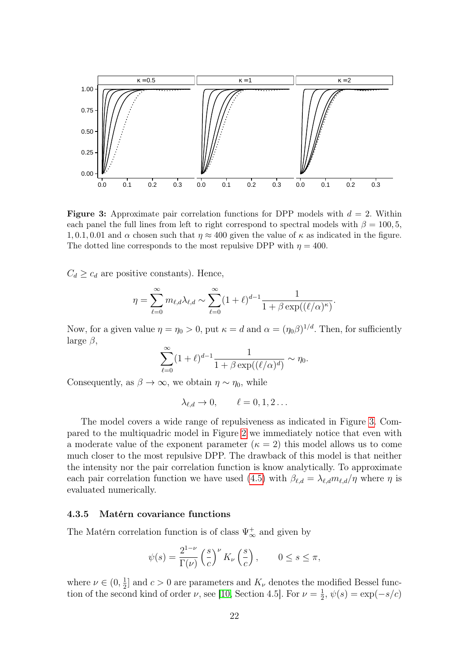<span id="page-21-1"></span>

**Figure 3:** Approximate pair correlation functions for DPP models with  $d = 2$ . Within each panel the full lines from left to right correspond to spectral models with  $\beta = 100, 5$ , 1, 0.1, 0.01 and  $\alpha$  chosen such that  $\eta \approx 400$  given the value of  $\kappa$  as indicated in the figure. The dotted line corresponds to the most repulsive DPP with  $\eta = 400$ .

 $C_d \geq c_d$  are positive constants). Hence,

$$
\eta = \sum_{\ell=0}^{\infty} m_{\ell,d} \lambda_{\ell,d} \sim \sum_{\ell=0}^{\infty} (1+\ell)^{d-1} \frac{1}{1+\beta \exp((\ell/\alpha)^{\kappa})}.
$$

Now, for a given value  $\eta = \eta_0 > 0$ , put  $\kappa = d$  and  $\alpha = (\eta_0 \beta)^{1/d}$ . Then, for sufficiently large  $\beta$ ,

$$
\sum_{\ell=0}^{\infty} (1+\ell)^{d-1} \frac{1}{1+\beta \exp((\ell/\alpha)^d)} \sim \eta_0.
$$

Consequently, as  $\beta \to \infty$ , we obtain  $\eta \sim \eta_0$ , while

$$
\lambda_{\ell,d} \to 0, \qquad \ell = 0, 1, 2 \ldots
$$

The model covers a wide range of repulsiveness as indicated in Figure [3.](#page-21-1) Compared to the multiquadric model in Figure [2](#page-19-1) we immediately notice that even with a moderate value of the exponent parameter ( $\kappa = 2$ ) this model allows us to come much closer to the most repulsive DPP. The drawback of this model is that neither the intensity nor the pair correlation function is know analytically. To approximate each pair correlation function we have used [\(4.5\)](#page-10-1) with  $\beta_{\ell,d} = \lambda_{\ell,d} m_{\ell,d}/\eta$  where  $\eta$  is evaluated numerically.

#### <span id="page-21-0"></span>4.3.5 Matérn covariance functions

The Matérn correlation function is of class  $\Psi_\infty^+$  and given by

$$
\psi(s) = \frac{2^{1-\nu}}{\Gamma(\nu)} \left(\frac{s}{c}\right)^{\nu} K_{\nu}\left(\frac{s}{c}\right), \qquad 0 \le s \le \pi,
$$

where  $\nu \in (0, \frac{1}{2})$  $\frac{1}{2}$  and  $c > 0$  are parameters and  $K_{\nu}$  denotes the modified Bessel function of the second kind of order  $\nu$ , see [\[10,](#page-28-0) Section 4.5]. For  $\nu = \frac{1}{2}$  $\frac{1}{2}, \psi(s) = \exp(-s/c)$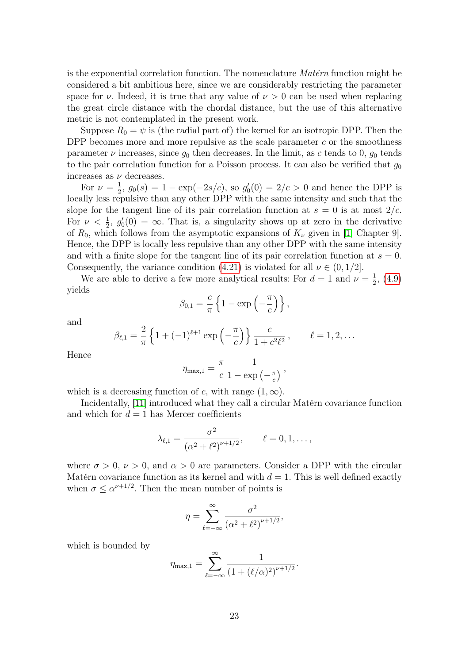is the exponential correlation function. The nomenclature Matérn function might be considered a bit ambitious here, since we are considerably restricting the parameter space for  $\nu$ . Indeed, it is true that any value of  $\nu > 0$  can be used when replacing the great circle distance with the chordal distance, but the use of this alternative metric is not contemplated in the present work.

Suppose  $R_0 = \psi$  is (the radial part of) the kernel for an isotropic DPP. Then the DPP becomes more and more repulsive as the scale parameter  $c$  or the smoothness parameter  $\nu$  increases, since  $g_0$  then decreases. In the limit, as c tends to 0,  $g_0$  tends to the pair correlation function for a Poisson process. It can also be verified that  $g_0$ increases as  $\nu$  decreases.

For  $\nu = \frac{1}{2}$  $\frac{1}{2}$ ,  $g_0(s) = 1 - \exp(-2s/c)$ , so  $g'_0(0) = 2/c > 0$  and hence the DPP is locally less repulsive than any other DPP with the same intensity and such that the slope for the tangent line of its pair correlation function at  $s = 0$  is at most  $2/c$ . For  $\nu < \frac{1}{2}$ ,  $g'_0(0) = \infty$ . That is, a singularity shows up at zero in the derivative of  $R_0$ , which follows from the asymptotic expansions of  $K_{\nu}$  given in [\[1,](#page-28-7) Chapter 9]. Hence, the DPP is locally less repulsive than any other DPP with the same intensity and with a finite slope for the tangent line of its pair correlation function at  $s = 0$ . Consequently, the variance condition [\(4.21\)](#page-15-1) is violated for all  $\nu \in (0, 1/2]$ .

We are able to derive a few more analytical results: For  $d=1$  and  $\nu=\frac{1}{2}$  $\frac{1}{2}$ , [\(4.9\)](#page-11-4) yields

$$
\beta_{0,1} = \frac{c}{\pi} \left\{ 1 - \exp\left(-\frac{\pi}{c}\right) \right\},\,
$$

and

$$
\beta_{\ell,1} = \frac{2}{\pi} \left\{ 1 + (-1)^{\ell+1} \exp\left(-\frac{\pi}{c}\right) \right\} \frac{c}{1 + c^2 \ell^2}, \qquad \ell = 1, 2, \dots
$$

Hence

$$
\eta_{\max,1} = \frac{\pi}{c} \frac{1}{1 - \exp\left(-\frac{\pi}{c}\right)},
$$

which is a decreasing function of c, with range  $(1, \infty)$ .

Incidentally, [\[11\]](#page-28-8) introduced what they call a circular Matérn covariance function and which for  $d = 1$  has Mercer coefficients

$$
\lambda_{\ell,1} = \frac{\sigma^2}{(\alpha^2 + \ell^2)^{\nu+1/2}}, \qquad \ell = 0, 1, \ldots,
$$

where  $\sigma > 0$ ,  $\nu > 0$ , and  $\alpha > 0$  are parameters. Consider a DPP with the circular Matérn covariance function as its kernel and with  $d = 1$ . This is well defined exactly when  $\sigma \leq \alpha^{\nu+1/2}$ . Then the mean number of points is

$$
\eta = \sum_{\ell=-\infty}^{\infty} \frac{\sigma^2}{\left(\alpha^2 + \ell^2\right)^{\nu+1/2}},
$$

which is bounded by

$$
\eta_{\max,1} = \sum_{\ell=-\infty}^{\infty} \frac{1}{(1 + (\ell/\alpha)^2)^{\nu + 1/2}}.
$$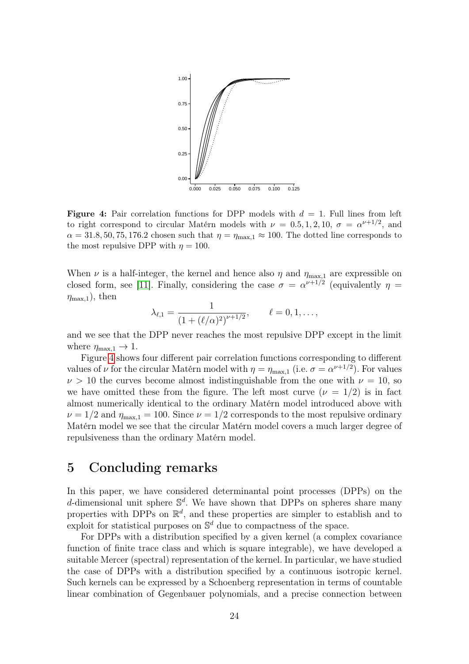<span id="page-23-1"></span>

**Figure 4:** Pair correlation functions for DPP models with  $d = 1$ . Full lines from left to right correspond to circular Matérn models with  $\nu = 0.5, 1, 2, 10, \sigma = \alpha^{\nu+1/2}$ , and  $\alpha = 31.8, 50, 75, 176.2$  chosen such that  $\eta = \eta_{\text{max},1} \approx 100$ . The dotted line corresponds to the most repulsive DPP with  $\eta = 100$ .

When  $\nu$  is a half-integer, the kernel and hence also  $\eta$  and  $\eta_{\text{max},1}$  are expressible on closed form, see [\[11\]](#page-28-8). Finally, considering the case  $\sigma = \alpha^{\nu+1/2}$  (equivalently  $\eta =$  $(\eta_{\text{max},1}),$  then

$$
\lambda_{\ell,1} = \frac{1}{(1 + (\ell/\alpha)^2)^{\nu + 1/2}}, \qquad \ell = 0, 1, \ldots,
$$

and we see that the DPP never reaches the most repulsive DPP except in the limit where  $\eta_{\text{max},1} \rightarrow 1$ .

Figure [4](#page-23-1) shows four different pair correlation functions corresponding to different values of  $\nu$  for the circular Matérn model with  $\eta = \eta_{\text{max},1}$  (i.e.  $\sigma = \alpha^{\nu+1/2}$ ). For values  $\nu > 10$  the curves become almost indistinguishable from the one with  $\nu = 10$ , so we have omitted these from the figure. The left most curve  $(\nu = 1/2)$  is in fact almost numerically identical to the ordinary Matérn model introduced above with  $\nu = 1/2$  and  $\eta_{\text{max},1} = 100$ . Since  $\nu = 1/2$  corresponds to the most repulsive ordinary Matérn model we see that the circular Matérn model covers a much larger degree of repulsiveness than the ordinary Matérn model.

## <span id="page-23-0"></span>5 Concluding remarks

In this paper, we have considered determinantal point processes (DPPs) on the d-dimensional unit sphere  $\mathbb{S}^d$ . We have shown that DPPs on spheres share many properties with DPPs on  $\mathbb{R}^d$ , and these properties are simpler to establish and to exploit for statistical purposes on  $\mathbb{S}^d$  due to compactness of the space.

For DPPs with a distribution specified by a given kernel (a complex covariance function of finite trace class and which is square integrable), we have developed a suitable Mercer (spectral) representation of the kernel. In particular, we have studied the case of DPPs with a distribution specified by a continuous isotropic kernel. Such kernels can be expressed by a Schoenberg representation in terms of countable linear combination of Gegenbauer polynomials, and a precise connection between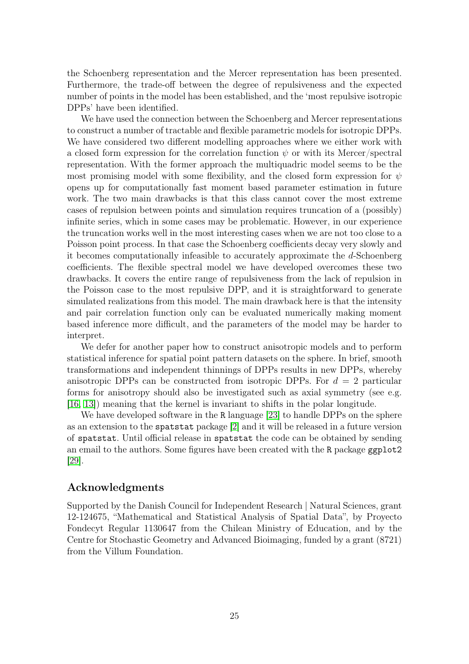the Schoenberg representation and the Mercer representation has been presented. Furthermore, the trade-off between the degree of repulsiveness and the expected number of points in the model has been established, and the 'most repulsive isotropic DPPs' have been identified.

We have used the connection between the Schoenberg and Mercer representations to construct a number of tractable and flexible parametric models for isotropic DPPs. We have considered two different modelling approaches where we either work with a closed form expression for the correlation function  $\psi$  or with its Mercer/spectral representation. With the former approach the multiquadric model seems to be the most promising model with some flexibility, and the closed form expression for  $\psi$ opens up for computationally fast moment based parameter estimation in future work. The two main drawbacks is that this class cannot cover the most extreme cases of repulsion between points and simulation requires truncation of a (possibly) infinite series, which in some cases may be problematic. However, in our experience the truncation works well in the most interesting cases when we are not too close to a Poisson point process. In that case the Schoenberg coefficients decay very slowly and it becomes computationally infeasible to accurately approximate the d-Schoenberg coefficients. The flexible spectral model we have developed overcomes these two drawbacks. It covers the entire range of repulsiveness from the lack of repulsion in the Poisson case to the most repulsive DPP, and it is straightforward to generate simulated realizations from this model. The main drawback here is that the intensity and pair correlation function only can be evaluated numerically making moment based inference more difficult, and the parameters of the model may be harder to interpret.

We defer for another paper how to construct anisotropic models and to perform statistical inference for spatial point pattern datasets on the sphere. In brief, smooth transformations and independent thinnings of DPPs results in new DPPs, whereby anisotropic DPPs can be constructed from isotropic DPPs. For  $d = 2$  particular forms for anisotropy should also be investigated such as axial symmetry (see e.g. [\[16,](#page-29-10) [13\]](#page-29-11)) meaning that the kernel is invariant to shifts in the polar longitude.

We have developed software in the R language [\[23\]](#page-29-12) to handle DPPs on the sphere as an extension to the spatstat package [\[2\]](#page-28-9) and it will be released in a future version of spatstat. Until official release in spatstat the code can be obtained by sending an email to the authors. Some figures have been created with the R package ggplot2 [\[29\]](#page-30-0).

### Acknowledgments

Supported by the Danish Council for Independent Research | Natural Sciences, grant 12-124675, "Mathematical and Statistical Analysis of Spatial Data", by Proyecto Fondecyt Regular 1130647 from the Chilean Ministry of Education, and by the Centre for Stochastic Geometry and Advanced Bioimaging, funded by a grant (8721) from the Villum Foundation.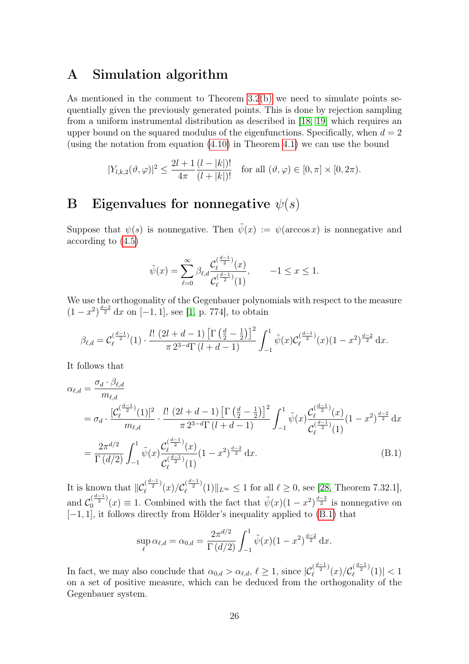### <span id="page-25-0"></span>A Simulation algorithm

As mentioned in the comment to Theorem [3.2](#page-6-0)[\(b\)](#page-7-4) we need to simulate points sequentially given the previously generated points. This is done by rejection sampling from a uniform instrumental distribution as described in [\[18,](#page-29-2) [19\]](#page-29-1) which requires an upper bound on the squared modulus of the eigenfunctions. Specifically, when  $d = 2$ (using the notation from equation [\(4.10\)](#page-11-2) in Theorem [4.1\)](#page-10-0) we can use the bound

$$
|Y_{l,k,2}(\vartheta,\varphi)|^2 \le \frac{2l+1}{4\pi} \frac{(l-|k|)!}{(l+|k|)!} \quad \text{for all } (\vartheta,\varphi) \in [0,\pi] \times [0,2\pi).
$$

# <span id="page-25-1"></span>B Eigenvalues for nonnegative  $\psi(s)$

Suppose that  $\psi(s)$  is nonnegative. Then  $\tilde{\psi}(x) := \psi(\arccos x)$  is nonnegative and according to [\(4.5\)](#page-10-1)

$$
\tilde{\psi}(x) = \sum_{\ell=0}^{\infty} \beta_{\ell,d} \frac{\mathcal{C}_{\ell}^{(\frac{d-1}{2})}(x)}{\mathcal{C}_{\ell}^{(\frac{d-1}{2})}(1)}, \qquad -1 \le x \le 1.
$$

We use the orthogonality of the Gegenbauer polynomials with respect to the measure  $(1-x^2)^{\frac{d-2}{2}} dx$  on [-1, 1], see [\[1,](#page-28-7) p. 774], to obtain

$$
\beta_{\ell,d} = C_{\ell}^{(\frac{d-1}{2})}(1) \cdot \frac{l! (2l+d-1) \left[ \Gamma\left(\frac{d}{2}-\frac{1}{2}\right) \right]^2}{\pi 2^{3-d} \Gamma(l+d-1)} \int_{-1}^1 \tilde{\psi}(x) C_{\ell}^{(\frac{d-1}{2})}(x) (1-x^2)^{\frac{d-2}{2}} dx.
$$

It follows that

$$
\alpha_{\ell,d} = \frac{\sigma_d \cdot \beta_{\ell,d}}{m_{\ell,d}}
$$
\n
$$
= \sigma_d \cdot \frac{[\mathcal{C}_{\ell}^{(\frac{d-1}{2})}(1)]^2}{m_{\ell,d}} \cdot \frac{l! (2l+d-1) [\Gamma(\frac{d}{2}-\frac{1}{2})]^2}{\pi 2^{3-d} \Gamma(l+d-1)} \int_{-1}^1 \tilde{\psi}(x) \frac{\mathcal{C}_{\ell}^{(\frac{d-1}{2})}(x)}{\mathcal{C}_{\ell}^{(\frac{d-1}{2})}(1)} (1-x^2)^{\frac{d-2}{2}} dx
$$
\n
$$
= \frac{2\pi^{d/2}}{\Gamma(d/2)} \int_{-1}^1 \tilde{\psi}(x) \frac{\mathcal{C}_{\ell}^{(\frac{d-1}{2})}(x)}{\mathcal{C}_{\ell}^{(\frac{d-1}{2})}(1)} (1-x^2)^{\frac{d-2}{2}} dx.
$$
\n(B.1)

It is known that  $\|\mathcal{C}_{\ell}^{(\frac{d-1}{2})}\|$  $\ell^{(\frac{d-1}{2})}(x)/\mathcal{C}^{(\frac{d-1}{2})}_{\ell}$  $\ell^{\frac{(\sqrt{2})}{2}}(1)\|_{L^{\infty}} \leq 1$  for all  $\ell \geq 0$ , see [\[28,](#page-30-1) Theorem 7.32.1], and  $\mathcal{C}_0^{(\frac{d-1}{2})}$  $\int_0^{\frac{1}{2}} f(x) dx = 1$ . Combined with the fact that  $\tilde{\psi}(x) (1 - x^2)^{\frac{d-2}{2}}$  is nonnegative on  $[-1, 1]$ , it follows directly from Hölder's inequality applied to  $(B.1)$  that

<span id="page-25-2"></span>
$$
\sup_{\ell} \alpha_{\ell,d} = \alpha_{0,d} = \frac{2\pi^{d/2}}{\Gamma(d/2)} \int_{-1}^{1} \tilde{\psi}(x) (1 - x^2)^{\frac{d-2}{2}} dx.
$$

In fact, we may also conclude that  $\alpha_{0,d} > \alpha_{\ell,d}, \ell \geq 1$ , since  $|C_{\ell}^{(\frac{d-1}{2})}|$  $\ell^{(\frac{d-1}{2})}(x)/\mathcal{C}^{(\frac{d-1}{2})}_\ell$  $\frac{1}{\ell}^{\left(\frac{1}{2}\right)}(1)| < 1$ on a set of positive measure, which can be deduced from the orthogonality of the Gegenbauer system.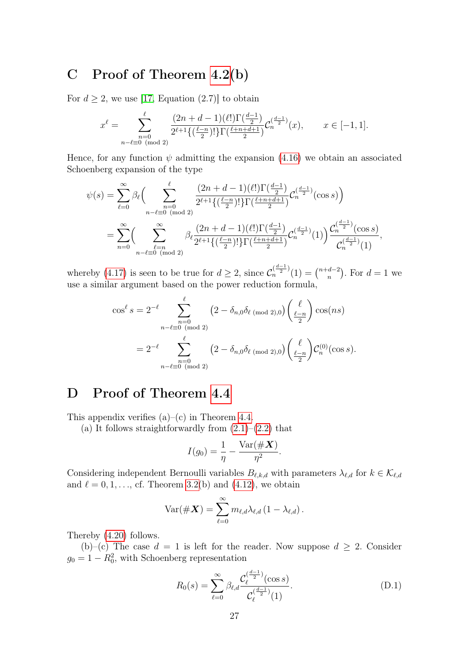# <span id="page-26-0"></span>C Proof of Theorem [4.2\(](#page-12-1)b)

For  $d \geq 2$ , we use [\[17,](#page-29-13) Equation (2.7)] to obtain

$$
x^{\ell} = \sum_{\substack{n=0 \ n-\ell \equiv 0 \pmod{2}}}^{\ell} \frac{(2n+d-1)(\ell !) \Gamma(\frac{d-1}{2})}{2^{\ell+1} \{(\frac{\ell-n}{2})!\} \Gamma(\frac{\ell+n+d+1}{2})} \mathcal{C}_n^{(\frac{d-1}{2})}(x), \qquad x \in [-1,1].
$$

Hence, for any function  $\psi$  admitting the expansion [\(4.16\)](#page-13-2) we obtain an associated Schoenberg expansion of the type

$$
\psi(s) = \sum_{\ell=0}^{\infty} \beta_{\ell} \Big( \sum_{\substack{n=0 \ n-\ell \equiv 0 \pmod{2}}}^{\ell} \frac{(2n+d-1)(\ell!) \Gamma(\frac{d-1}{2})}{2^{\ell+1} \{(\frac{\ell-n}{2})!\} \Gamma(\frac{\ell+n+d+1}{2})} C_n^{(\frac{d-1}{2})}(\cos s) \Big)
$$
  

$$
= \sum_{n=0}^{\infty} \Big( \sum_{\substack{\ell=n \ \ell \equiv n}}^{\infty} \beta_{\ell} \frac{(2n+d-1)(\ell!) \Gamma(\frac{d-1}{2})}{2^{\ell+1} \{(\frac{\ell-n}{2})!\} \Gamma(\frac{\ell+n+d+1}{2})} C_n^{(\frac{d-1}{2})}(1) \Big) \frac{C_n^{(\frac{d-1}{2})}(\cos s)}{C_n^{(\frac{d-1}{2})}(1)},
$$

whereby [\(4.17\)](#page-13-1) is seen to be true for  $d \geq 2$ , since  $\mathcal{C}_n^{(\frac{d-1}{2})}(1) = \binom{n+d-2}{n}$  $\binom{d-2}{n}$ . For  $d=1$  we use a similar argument based on the power reduction formula,

$$
\cos^{\ell} s = 2^{-\ell} \sum_{\substack{n=0 \ n-\ell \equiv 0 \pmod{2}}}^{\ell} \left(2 - \delta_{n,0} \delta_{\ell \pmod{2},0}\right) \left(\frac{\ell}{\frac{\ell-n}{2}}\right) \cos(ns)
$$

$$
= 2^{-\ell} \sum_{\substack{n=0 \ n-\ell \equiv 0 \pmod{2}}}^{\ell} \left(2 - \delta_{n,0} \delta_{\ell \pmod{2},0}\right) \left(\frac{\ell}{\frac{\ell-n}{2}}\right) \mathcal{C}_n^{(0)}(\cos s).
$$

## <span id="page-26-1"></span>D Proof of Theorem [4.4](#page-15-0)

This appendix verifies  $(a)$ – $(c)$  in Theorem [4.4.](#page-15-0)

(a) It follows straightforwardly from  $(2.1)$ – $(2.2)$  that

$$
I(g_0) = \frac{1}{\eta} - \frac{\text{Var}(\#\mathbf{X})}{\eta^2}.
$$

Considering independent Bernoulli variables  $B_{\ell,k,d}$  with parameters  $\lambda_{\ell,d}$  for  $k \in \mathcal{K}_{\ell,d}$ and  $\ell = 0, 1, \ldots$ , cf. Theorem [3.2\(](#page-6-0)b) and [\(4.12\)](#page-11-1), we obtain

$$
\text{Var}(\#\mathbf{X}) = \sum_{\ell=0}^{\infty} m_{\ell,d} \lambda_{\ell,d} (1-\lambda_{\ell,d}).
$$

Thereby [\(4.20\)](#page-15-2) follows.

(b)–(c) The case  $d = 1$  is left for the reader. Now suppose  $d \geq 2$ . Consider  $g_0 = 1 - R_0^2$ , with Schoenberg representation

<span id="page-26-2"></span>
$$
R_0(s) = \sum_{\ell=0}^{\infty} \beta_{\ell,d} \frac{\mathcal{C}_{\ell}^{(\frac{d-1}{2})}(\cos s)}{\mathcal{C}_{\ell}^{(\frac{d-1}{2})}(1)}.
$$
(D.1)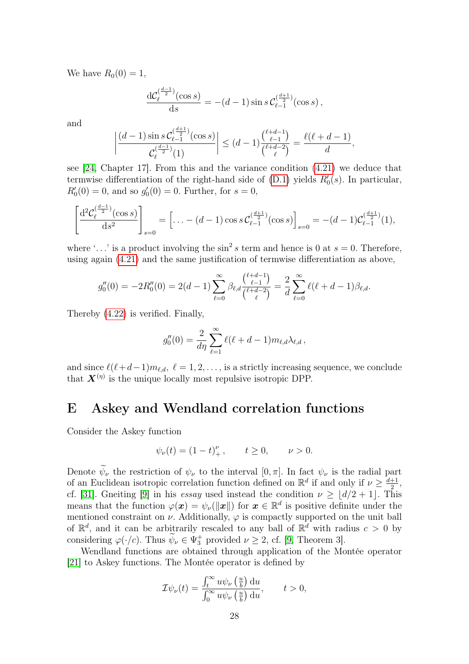We have  $R_0(0) = 1$ ,

$$
\frac{\mathrm{d} \mathcal{C}_{\ell}^{(\frac{d-1}{2})}(\cos s)}{\mathrm{d} s} = -(d-1)\sin s \, \mathcal{C}_{\ell-1}^{(\frac{d+1}{2})}(\cos s) \,,
$$

and

$$
\left|\frac{(d-1)\sin s\,\mathcal{C}_{\ell-1}^{(\frac{d+1}{2})}(\cos s)}{\mathcal{C}_{\ell}^{(\frac{d-1}{2})}(1)}\right|\leq (d-1)\frac{{\ell+d-1\choose \ell-1}}{{\ell+d-2\choose \ell}}=\frac{\ell(\ell+d-1)}{d},
$$

see [\[24,](#page-29-14) Chapter 17]. From this and the variance condition [\(4.21\)](#page-15-1) we deduce that termwise differentiation of the right-hand side of  $(D.1)$  yields  $R'_0(s)$ . In particular,  $R'_0(0) = 0$ , and so  $g'_0(0) = 0$ . Further, for  $s = 0$ ,

$$
\left[\frac{\mathrm{d}^2 \mathcal{C}_{\ell}^{(\frac{d-1}{2})}(\cos s)}{\mathrm{d} s^2}\right]_{s=0} = \left[\ldots - (d-1)\cos s \mathcal{C}_{\ell-1}^{(\frac{d+1}{2})}(\cos s)\right]_{s=0} = -(d-1)\mathcal{C}_{\ell-1}^{(\frac{d+1}{2})}(1),
$$

where '...' is a product involving the  $\sin^2 s$  term and hence is 0 at  $s = 0$ . Therefore, using again [\(4.21\)](#page-15-1) and the same justification of termwise differentiation as above,

$$
g_0''(0) = -2R_0''(0) = 2(d-1)\sum_{\ell=0}^{\infty} \beta_{\ell,d} \frac{\binom{\ell+d-1}{\ell-1}}{\binom{\ell+d-2}{\ell}} = \frac{2}{d}\sum_{\ell=0}^{\infty} \ell(\ell+d-1)\beta_{\ell,d}.
$$

Thereby [\(4.22\)](#page-15-3) is verified. Finally,

$$
g_0''(0) = \frac{2}{d\eta} \sum_{\ell=1}^{\infty} \ell(\ell + d - 1) m_{\ell,d} \lambda_{\ell,d},
$$

and since  $\ell(\ell+d-1)m_{\ell,d}, \ell=1, 2, \ldots$ , is a strictly increasing sequence, we conclude that  $X^{(\eta)}$  is the unique locally most repulsive isotropic DPP.

### <span id="page-27-0"></span>E Askey and Wendland correlation functions

Consider the Askey function

$$
\psi_{\nu}(t) = (1-t)^{\nu}_{+}, \qquad t \ge 0, \qquad \nu > 0.
$$

Denote  $\tilde{\psi}_{\nu}$  the restriction of  $\psi_{\nu}$  to the interval  $[0, \pi]$ . In fact  $\psi_{\nu}$  is the radial part of an Euclidean isotropic correlation function defined on  $\mathbb{R}^d$  if and only if  $\nu \geq \frac{d+1}{2}$  $\frac{+1}{2}$ , cf. [\[31\]](#page-30-2). Gneiting [\[9\]](#page-28-10) in his essay used instead the condition  $\nu \geq |d/2 + 1|$ . This means that the function  $\varphi(\bm{x}) = \psi_{\nu}(\|\bm{x}\|)$  for  $\bm{x} \in \mathbb{R}^d$  is positive definite under the mentioned constraint on  $\nu$ . Additionally,  $\varphi$  is compactly supported on the unit ball of  $\mathbb{R}^d$ , and it can be arbitrarily rescaled to any ball of  $\mathbb{R}^d$  with radius  $c > 0$  by considering  $\varphi(\cdot/c)$ . Thus  $\widetilde{\psi}_{\nu} \in \Psi_3^+$  provided  $\nu \geq 2$ , cf. [\[9,](#page-28-10) Theorem 3].

Wendland functions are obtained through application of the Montée operator [\[21\]](#page-29-15) to Askey functions. The Montée operator is defined by

$$
\mathcal{I}\psi_{\nu}(t) = \frac{\int_t^{\infty} u \psi_{\nu}\left(\frac{u}{b}\right) \mathrm{d}u}{\int_0^{\infty} u \psi_{\nu}\left(\frac{u}{b}\right) \mathrm{d}u}, \qquad t > 0,
$$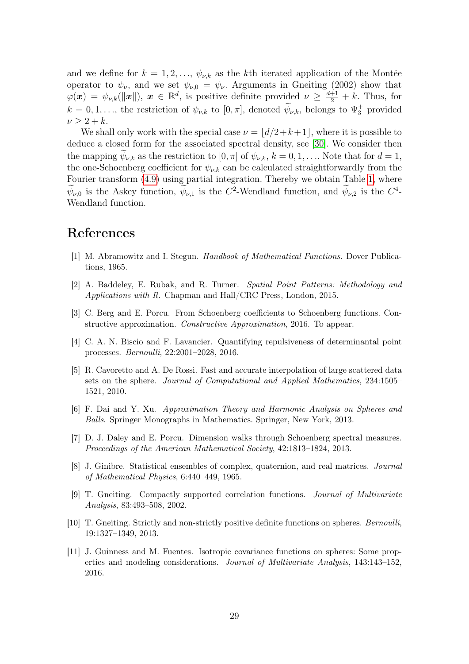and we define for  $k = 1, 2, \ldots, \psi_{\nu,k}$  as the kth iterated application of the Montée operator to  $\psi_{\nu}$ , and we set  $\psi_{\nu,0} = \psi_{\nu}$ . Arguments in Gneiting (2002) show that  $\varphi(\boldsymbol{x}) = \psi_{\nu,k}(\|\boldsymbol{x}\|), \ \boldsymbol{x} \in \mathbb{R}^d$ , is positive definite provided  $\nu \geq \frac{d+1}{2} + k$ . Thus, for  $k = 0, 1, \ldots$ , the restriction of  $\psi_{\nu,k}$  to  $[0, \pi]$ , denoted  $\widetilde{\psi}_{\nu,k}$ , belongs to  $\Psi_3^+$  provided  $\nu \geq 2 + k$ .

We shall only work with the special case  $\nu = |d/2+k+1|$ , where it is possible to deduce a closed form for the associated spectral density, see [\[30\]](#page-30-3). We consider then the mapping  $\psi_{\nu,k}$  as the restriction to  $[0, \pi]$  of  $\psi_{\nu,k}, k = 0, 1, \ldots$ . Note that for  $d = 1$ , the one-Schoenberg coefficient for  $\psi_{\nu,k}$  can be calculated straightforwardly from the Fourier transform [\(4.9\)](#page-11-4) using partial integration. Thereby we obtain Table [1,](#page-20-1) where  $\psi_{\nu,0}$  is the Askey function,  $\psi_{\nu,1}$  is the  $C^2$ -Wendland function, and  $\psi_{\nu,2}$  is the  $C^4$ -Wendland function.

## References

- <span id="page-28-7"></span>[1] M. Abramowitz and I. Stegun. Handbook of Mathematical Functions. Dover Publications, 1965.
- <span id="page-28-9"></span>[2] A. Baddeley, E. Rubak, and R. Turner. Spatial Point Patterns: Methodology and Applications with R. Chapman and Hall/CRC Press, London, 2015.
- <span id="page-28-1"></span>[3] C. Berg and E. Porcu. From Schoenberg coefficients to Schoenberg functions. Constructive approximation. Constructive Approximation, 2016. To appear.
- <span id="page-28-5"></span>[4] C. A. N. Biscio and F. Lavancier. Quantifying repulsiveness of determinantal point processes. Bernoulli, 22:2001–2028, 2016.
- <span id="page-28-6"></span>[5] R. Cavoretto and A. De Rossi. Fast and accurate interpolation of large scattered data sets on the sphere. Journal of Computational and Applied Mathematics, 234:1505– 1521, 2010.
- <span id="page-28-2"></span>[6] F. Dai and Y. Xu. Approximation Theory and Harmonic Analysis on Spheres and Balls. Springer Monographs in Mathematics. Springer, New York, 2013.
- <span id="page-28-4"></span>[7] D. J. Daley and E. Porcu. Dimension walks through Schoenberg spectral measures. Proceedings of the American Mathematical Society, 42:1813–1824, 2013.
- <span id="page-28-3"></span>[8] J. Ginibre. Statistical ensembles of complex, quaternion, and real matrices. Journal of Mathematical Physics, 6:440–449, 1965.
- <span id="page-28-10"></span>[9] T. Gneiting. Compactly supported correlation functions. Journal of Multivariate Analysis, 83:493–508, 2002.
- <span id="page-28-0"></span>[10] T. Gneiting. Strictly and non-strictly positive definite functions on spheres. Bernoulli, 19:1327–1349, 2013.
- <span id="page-28-8"></span>[11] J. Guinness and M. Fuentes. Isotropic covariance functions on spheres: Some properties and modeling considerations. Journal of Multivariate Analysis, 143:143–152, 2016.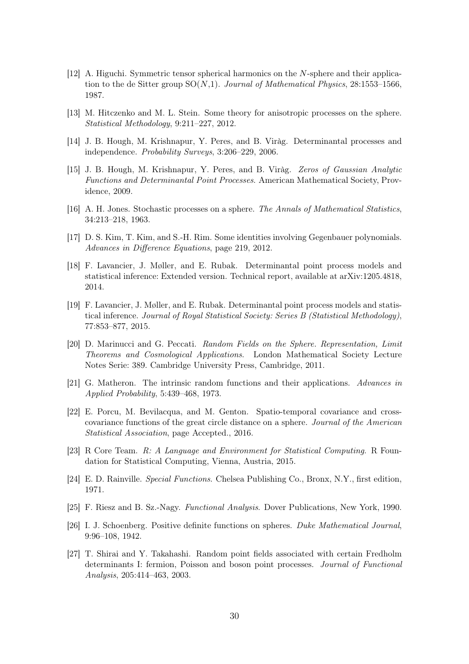- <span id="page-29-8"></span>[12] A. Higuchi. Symmetric tensor spherical harmonics on the N-sphere and their application to the de Sitter group  $SO(N,1)$ . Journal of Mathematical Physics, 28:1553–1566, 1987.
- <span id="page-29-11"></span>[13] M. Hitczenko and M. L. Stein. Some theory for anisotropic processes on the sphere. Statistical Methodology, 9:211–227, 2012.
- <span id="page-29-5"></span>[14] J. B. Hough, M. Krishnapur, Y. Peres, and B. Viràg. Determinantal processes and independence. Probability Surveys, 3:206–229, 2006.
- <span id="page-29-0"></span>[15] J. B. Hough, M. Krishnapur, Y. Peres, and B. Viràg. Zeros of Gaussian Analytic Functions and Determinantal Point Processes. American Mathematical Society, Providence, 2009.
- <span id="page-29-10"></span>[16] A. H. Jones. Stochastic processes on a sphere. The Annals of Mathematical Statistics, 34:213–218, 1963.
- <span id="page-29-13"></span>[17] D. S. Kim, T. Kim, and S.-H. Rim. Some identities involving Gegenbauer polynomials. Advances in Difference Equations, page 219, 2012.
- <span id="page-29-2"></span>[18] F. Lavancier, J. Møller, and E. Rubak. Determinantal point process models and statistical inference: Extended version. Technical report, available at arXiv:1205.4818, 2014.
- <span id="page-29-1"></span>[19] F. Lavancier, J. Møller, and E. Rubak. Determinantal point process models and statistical inference. Journal of Royal Statistical Society: Series B (Statistical Methodology), 77:853–877, 2015.
- <span id="page-29-9"></span>[20] D. Marinucci and G. Peccati. Random Fields on the Sphere. Representation, Limit Theorems and Cosmological Applications. London Mathematical Society Lecture Notes Serie: 389. Cambridge University Press, Cambridge, 2011.
- <span id="page-29-15"></span>[21] G. Matheron. The intrinsic random functions and their applications. Advances in Applied Probability, 5:439–468, 1973.
- <span id="page-29-3"></span>[22] E. Porcu, M. Bevilacqua, and M. Genton. Spatio-temporal covariance and crosscovariance functions of the great circle distance on a sphere. Journal of the American Statistical Association, page Accepted., 2016.
- <span id="page-29-12"></span>[23] R Core Team. R: A Language and Environment for Statistical Computing. R Foundation for Statistical Computing, Vienna, Austria, 2015.
- <span id="page-29-14"></span>[24] E. D. Rainville. Special Functions. Chelsea Publishing Co., Bronx, N.Y., first edition, 1971.
- <span id="page-29-4"></span>[25] F. Riesz and B. Sz.-Nagy. Functional Analysis. Dover Publications, New York, 1990.
- <span id="page-29-7"></span>[26] I. J. Schoenberg. Positive definite functions on spheres. Duke Mathematical Journal, 9:96–108, 1942.
- <span id="page-29-6"></span>[27] T. Shirai and Y. Takahashi. Random point fields associated with certain Fredholm determinants I: fermion, Poisson and boson point processes. Journal of Functional Analysis, 205:414–463, 2003.